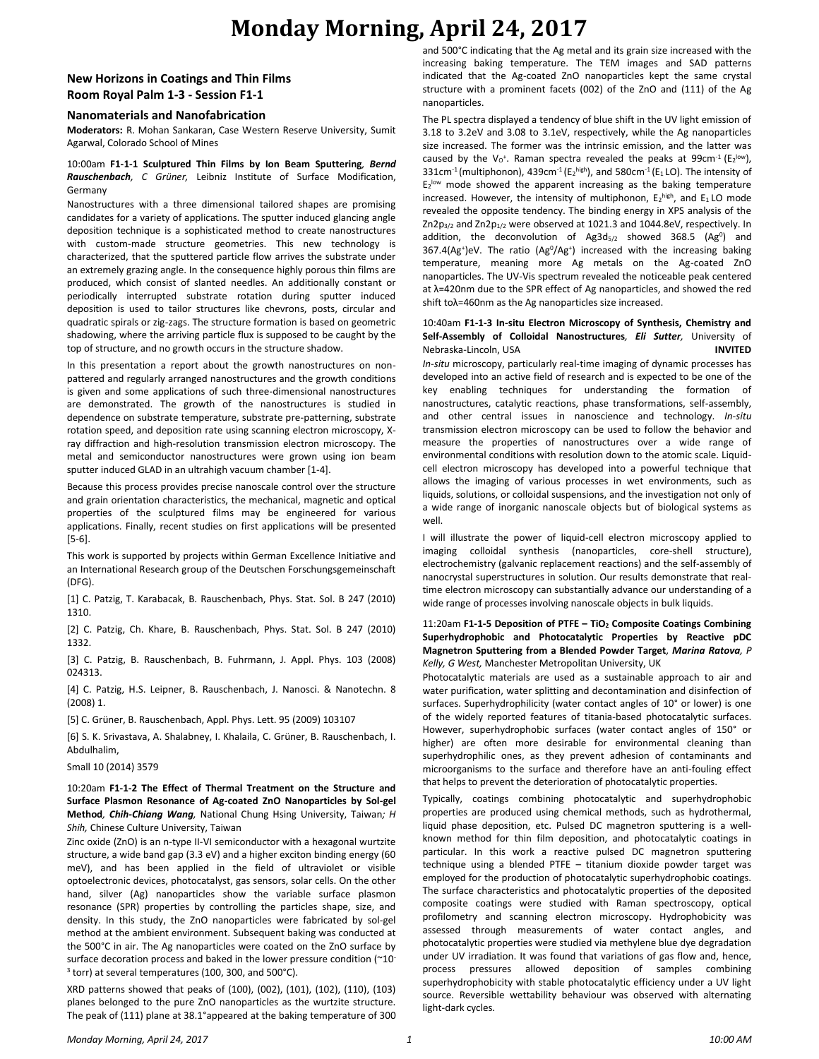## **Monday Morning, April 24, 2017**

### **New Horizons in Coatings and Thin Films Room Royal Palm 1-3 - Session F1-1**

#### **Nanomaterials and Nanofabrication**

**Moderators:** R. Mohan Sankaran, Case Western Reserve University, Sumit Agarwal, Colorado School of Mines

#### 10:00am **F1-1-1 Sculptured Thin Films by Ion Beam Sputtering***, Bernd Rauschenbach, C Grüner,* Leibniz Institute of Surface Modification, Germany

Nanostructures with a three dimensional tailored shapes are promising candidates for a variety of applications. The sputter induced glancing angle deposition technique is a sophisticated method to create nanostructures with custom-made structure geometries. This new technology is characterized, that the sputtered particle flow arrives the substrate under an extremely grazing angle. In the consequence highly porous thin films are produced, which consist of slanted needles. An additionally constant or periodically interrupted substrate rotation during sputter induced deposition is used to tailor structures like chevrons, posts, circular and quadratic spirals or zig-zags. The structure formation is based on geometric shadowing, where the arriving particle flux is supposed to be caught by the top of structure, and no growth occurs in the structure shadow.

In this presentation a report about the growth nanostructures on nonpattered and regularly arranged nanostructures and the growth conditions is given and some applications of such three-dimensional nanostructures are demonstrated. The growth of the nanostructures is studied in dependence on substrate temperature, substrate pre-patterning, substrate rotation speed, and deposition rate using scanning electron microscopy, Xray diffraction and high-resolution transmission electron microscopy. The metal and semiconductor nanostructures were grown using ion beam sputter induced GLAD in an ultrahigh vacuum chamber [1-4].

Because this process provides precise nanoscale control over the structure and grain orientation characteristics, the mechanical, magnetic and optical properties of the sculptured films may be engineered for various applications. Finally, recent studies on first applications will be presented [5-6].

This work is supported by projects within German Excellence Initiative and an International Research group of the Deutschen Forschungsgemeinschaft (DFG).

[1] C. Patzig, T. Karabacak, B. Rauschenbach, Phys. Stat. Sol. B 247 (2010) 1310.

[2] C. Patzig, Ch. Khare, B. Rauschenbach, Phys. Stat. Sol. B 247 (2010) 1332.

[3] C. Patzig, B. Rauschenbach, B. Fuhrmann, J. Appl. Phys. 103 (2008) 024313.

[4] C. Patzig, H.S. Leipner, B. Rauschenbach, J. Nanosci. & Nanotechn. 8 (2008) 1.

[5] C. Grüner, B. Rauschenbach, Appl. Phys. Lett. 95 (2009) 103107

[6] S. K. Srivastava, A. Shalabney, I. Khalaila, C. Grüner, B. Rauschenbach, I. Abdulhalim,

Small 10 (2014) 3579

10:20am **F1-1-2 The Effect of Thermal Treatment on the Structure and Surface Plasmon Resonance of Ag-coated ZnO Nanoparticles by Sol-gel Method***, Chih-Chiang Wang,* National Chung Hsing University, Taiwan*; H Shih,* Chinese Culture University, Taiwan

Zinc oxide (ZnO) is an n-type II-VI semiconductor with a hexagonal wurtzite structure, a wide band gap (3.3 eV) and a higher exciton binding energy (60 meV), and has been applied in the field of ultraviolet or visible optoelectronic devices, photocatalyst, gas sensors, solar cells. On the other hand, silver (Ag) nanoparticles show the variable surface plasmon resonance (SPR) properties by controlling the particles shape, size, and density. In this study, the ZnO nanoparticles were fabricated by sol-gel method at the ambient environment. Subsequent baking was conducted at the 500°C in air. The Ag nanoparticles were coated on the ZnO surface by surface decoration process and baked in the lower pressure condition (~10-3 torr) at several temperatures (100, 300, and 500°C).

XRD patterns showed that peaks of (100), (002), (101), (102), (110), (103) planes belonged to the pure ZnO nanoparticles as the wurtzite structure. The peak of (111) plane at 38.1°appeared at the baking temperature of 300 and 500°C indicating that the Ag metal and its grain size increased with the increasing baking temperature. The TEM images and SAD patterns indicated that the Ag-coated ZnO nanoparticles kept the same crystal structure with a prominent facets (002) of the ZnO and (111) of the Ag nanoparticles.

The PL spectra displayed a tendency of blue shift in the UV light emission of 3.18 to 3.2eV and 3.08 to 3.1eV, respectively, while the Ag nanoparticles size increased. The former was the intrinsic emission, and the latter was caused by the  $V_0^+$ . Raman spectra revealed the peaks at 99cm<sup>-1</sup> ( $E_2^{\text{low}}$ ), 331cm<sup>-1</sup> (multiphonon), 439cm<sup>-1</sup> ( $E_2$ <sup>high</sup>), and 580cm<sup>-1</sup> ( $E_1$ LO). The intensity of E<sub>2</sub><sup>low</sup> mode showed the apparent increasing as the baking temperature increased. However, the intensity of multiphonon,  $E_2^{\text{high}}$ , and  $E_1$  LO mode revealed the opposite tendency. The binding energy in XPS analysis of the Zn2p<sub>3/2</sub> and Zn2p<sub>1/2</sub> were observed at 1021.3 and 1044.8eV, respectively. In addition, the deconvolution of  $Ag3d_{5/2}$  showed 368.5 (Ag<sup>0</sup>) and 367.4(Ag<sup>+</sup>)eV. The ratio (Ag<sup>0</sup>/Ag<sup>+</sup>) increased with the increasing baking temperature, meaning more Ag metals on the Ag-coated ZnO nanoparticles. The UV-Vis spectrum revealed the noticeable peak centered at λ=420nm due to the SPR effect of Ag nanoparticles, and showed the red shift toλ=460nm as the Ag nanoparticles size increased.

#### 10:40am **F1-1-3 In-situ Electron Microscopy of Synthesis, Chemistry and Self-Assembly of Colloidal Nanostructures***, Eli Sutter,* University of Nebraska-Lincoln, USA **INVITED**

*In-situ* microscopy, particularly real-time imaging of dynamic processes has developed into an active field of research and is expected to be one of the key enabling techniques for understanding the formation of nanostructures, catalytic reactions, phase transformations, self-assembly, and other central issues in nanoscience and technology. *In-situ* transmission electron microscopy can be used to follow the behavior and measure the properties of nanostructures over a wide range of environmental conditions with resolution down to the atomic scale. Liquidcell electron microscopy has developed into a powerful technique that allows the imaging of various processes in wet environments, such as liquids, solutions, or colloidal suspensions, and the investigation not only of a wide range of inorganic nanoscale objects but of biological systems as well.

I will illustrate the power of liquid-cell electron microscopy applied to imaging colloidal synthesis (nanoparticles, core-shell structure), electrochemistry (galvanic replacement reactions) and the self-assembly of nanocrystal superstructures in solution. Our results demonstrate that realtime electron microscopy can substantially advance our understanding of a wide range of processes involving nanoscale objects in bulk liquids.

### 11:20am **F1-1-5 Deposition of PTFE – TiO<sup>2</sup> Composite Coatings Combining Superhydrophobic and Photocatalytic Properties by Reactive pDC Magnetron Sputtering from a Blended Powder Target***, Marina Ratova, P Kelly, G West,* Manchester Metropolitan University, UK

Photocatalytic materials are used as a sustainable approach to air and water purification, water splitting and decontamination and disinfection of surfaces. Superhydrophilicity (water contact angles of 10° or lower) is one of the widely reported features of titania-based photocatalytic surfaces. However, superhydrophobic surfaces (water contact angles of 150° or higher) are often more desirable for environmental cleaning than superhydrophilic ones, as they prevent adhesion of contaminants and microorganisms to the surface and therefore have an anti-fouling effect that helps to prevent the deterioration of photocatalytic properties.

Typically, coatings combining photocatalytic and superhydrophobic properties are produced using chemical methods, such as hydrothermal, liquid phase deposition, etc. Pulsed DC magnetron sputtering is a wellknown method for thin film deposition, and photocatalytic coatings in particular. In this work a reactive pulsed DC magnetron sputtering technique using a blended PTFE – titanium dioxide powder target was employed for the production of photocatalytic superhydrophobic coatings. The surface characteristics and photocatalytic properties of the deposited composite coatings were studied with Raman spectroscopy, optical profilometry and scanning electron microscopy. Hydrophobicity was assessed through measurements of water contact angles, and photocatalytic properties were studied via methylene blue dye degradation under UV irradiation. It was found that variations of gas flow and, hence, process pressures allowed deposition of samples combining superhydrophobicity with stable photocatalytic efficiency under a UV light source. Reversible wettability behaviour was observed with alternating light-dark cycles.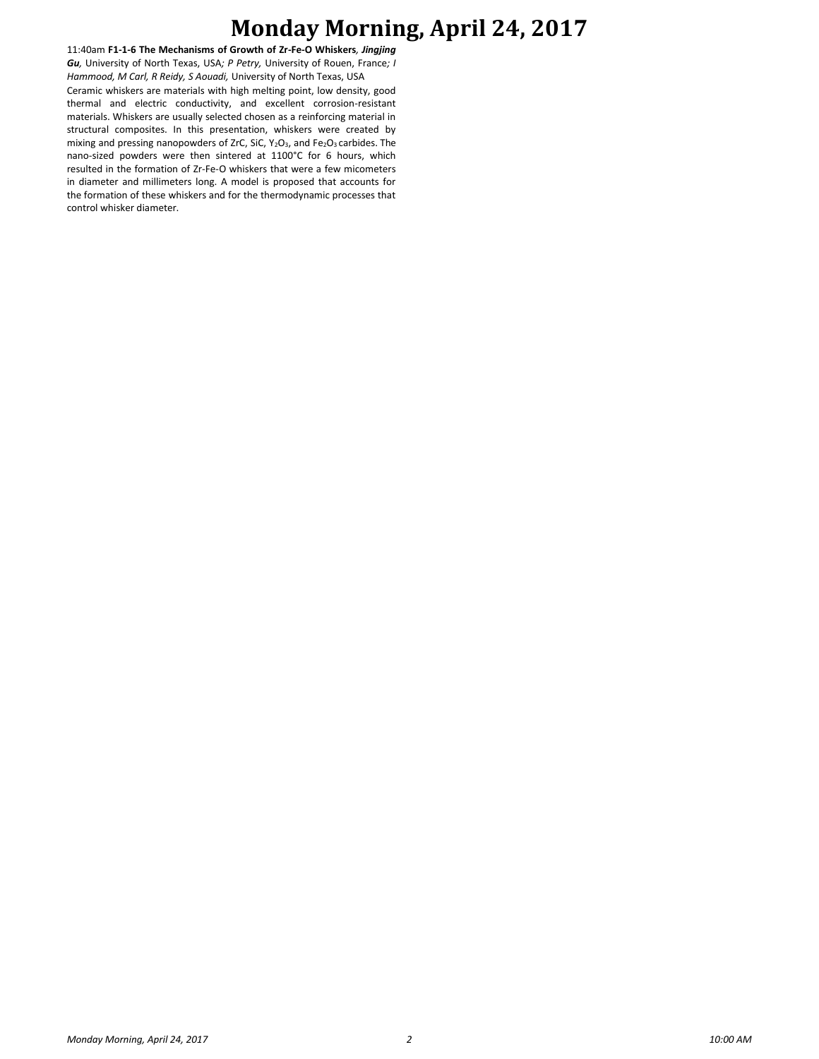# **Monday Morning, April 24, 2017**

11:40am **F1-1-6 The Mechanisms of Growth of Zr-Fe-O Whiskers***, Jingjing Gu,* University of North Texas, USA*; P Petry,* University of Rouen, France*; I Hammood, M Carl, R Reidy, S Aouadi,* University of North Texas, USA Ceramic whiskers are materials with high melting point, low density, good thermal and electric conductivity, and excellent corrosion-resistant materials. Whiskers are usually selected chosen as a reinforcing material in structural composites. In this presentation, whiskers were created by mixing and pressing nanopowders of ZrC, SiC, Y<sub>2</sub>O<sub>3</sub>, and Fe<sub>2</sub>O<sub>3</sub> carbides. The nano-sized powders were then sintered at 1100°C for 6 hours, which resulted in the formation of Zr-Fe-O whiskers that were a few micometers in diameter and millimeters long. A model is proposed that accounts for the formation of these whiskers and for the thermodynamic processes that control whisker diameter.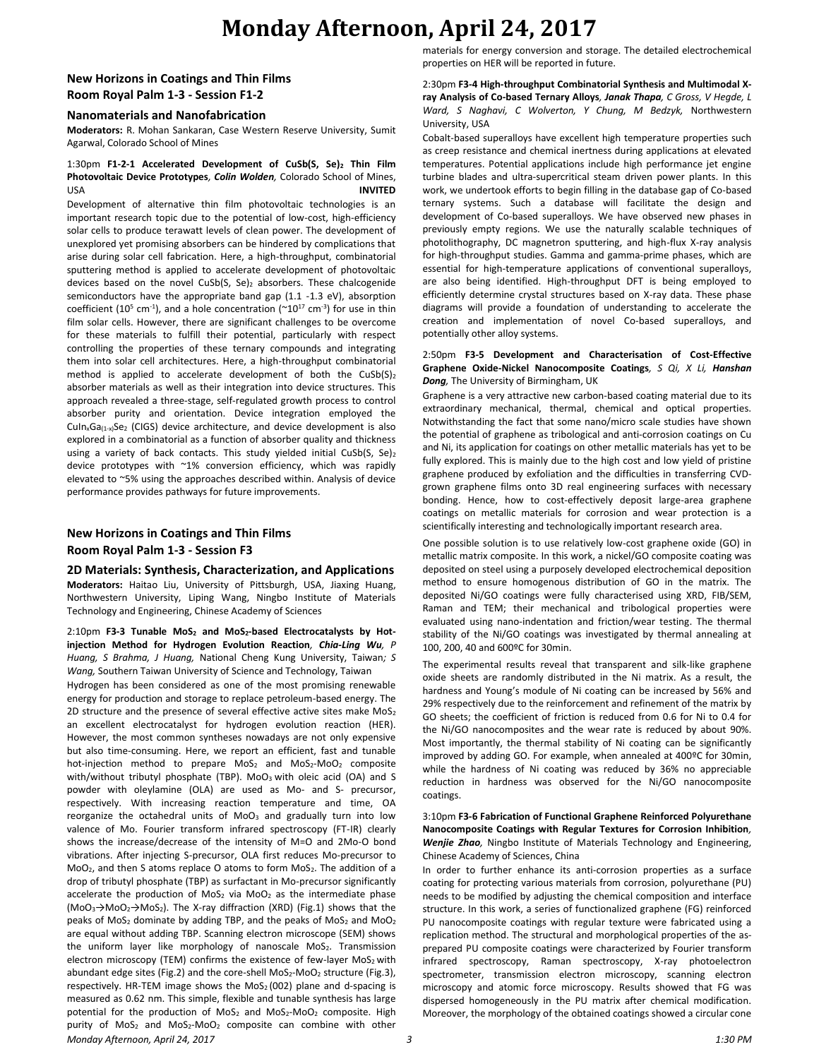## **Monday Afternoon, April 24, 2017**

### **New Horizons in Coatings and Thin Films Room Royal Palm 1-3 - Session F1-2**

### **Nanomaterials and Nanofabrication**

**Moderators:** R. Mohan Sankaran, Case Western Reserve University, Sumit Agarwal, Colorado School of Mines

### 1:30pm **F1-2-1 Accelerated Development of CuSb(S, Se)<sup>2</sup> Thin Film Photovoltaic Device Prototypes***, Colin Wolden,* Colorado School of Mines, USA **INVITED**

Development of alternative thin film photovoltaic technologies is an important research topic due to the potential of low-cost, high-efficiency solar cells to produce terawatt levels of clean power. The development of unexplored yet promising absorbers can be hindered by complications that arise during solar cell fabrication. Here, a high-throughput, combinatorial sputtering method is applied to accelerate development of photovoltaic devices based on the novel CuSb(S, Se)<sub>2</sub> absorbers. These chalcogenide semiconductors have the appropriate band gap (1.1 -1.3 eV), absorption coefficient (10<sup>5</sup> cm<sup>-1</sup>), and a hole concentration ( $\sim$ 10<sup>17</sup> cm<sup>-3</sup>) for use in thin film solar cells. However, there are significant challenges to be overcome for these materials to fulfill their potential, particularly with respect controlling the properties of these ternary compounds and integrating them into solar cell architectures. Here, a high-throughput combinatorial method is applied to accelerate development of both the  $CuSb(S)<sub>2</sub>$ absorber materials as well as their integration into device structures. This approach revealed a three-stage, self-regulated growth process to control absorber purity and orientation. Device integration employed the CuInxGa(1-x)Se<sup>2</sup> (CIGS) device architecture, and device development is also explored in a combinatorial as a function of absorber quality and thickness using a variety of back contacts. This study yielded initial CuSb(S, Se)<sub>2</sub> device prototypes with ~1% conversion efficiency, which was rapidly elevated to ~5% using the approaches described within. Analysis of device performance provides pathways for future improvements.

### **New Horizons in Coatings and Thin Films Room Royal Palm 1-3 - Session F3**

**2D Materials: Synthesis, Characterization, and Applications Moderators:** Haitao Liu, University of Pittsburgh, USA, Jiaxing Huang, Northwestern University, Liping Wang, Ningbo Institute of Materials Technology and Engineering, Chinese Academy of Sciences

### 2:10pm **F3-3 Tunable MoS<sup>2</sup> and MoS2-based Electrocatalysts by Hotinjection Method for Hydrogen Evolution Reaction***, Chia-Ling Wu, P Huang, S Brahma, J Huang,* National Cheng Kung University, Taiwan*; S Wang,* Southern Taiwan University of Science and Technology, Taiwan

*Monday Afternoon, April 24, 2017 3 1:30 PM* Hydrogen has been considered as one of the most promising renewable energy for production and storage to replace petroleum-based energy. The 2D structure and the presence of several effective active sites make MoS<sub>2</sub> an excellent electrocatalyst for hydrogen evolution reaction (HER). However, the most common syntheses nowadays are not only expensive but also time-consuming. Here, we report an efficient, fast and tunable hot-injection method to prepare  $MoS<sub>2</sub>$  and  $MoS<sub>2</sub>-MoO<sub>2</sub>$  composite with/without tributyl phosphate (TBP). MoO<sub>3</sub> with oleic acid (OA) and S powder with oleylamine (OLA) are used as Mo- and S- precursor, respectively. With increasing reaction temperature and time, OA reorganize the octahedral units of  $MoO<sub>3</sub>$  and gradually turn into low valence of Mo. Fourier transform infrared spectroscopy (FT-IR) clearly shows the increase/decrease of the intensity of M=O and 2Mo-O bond vibrations. After injecting S-precursor, OLA first reduces Mo-precursor to MoO<sub>2</sub>, and then S atoms replace O atoms to form MoS<sub>2</sub>. The addition of a drop of tributyl phosphate (TBP) as surfactant in Mo-precursor significantly accelerate the production of  $MoS<sub>2</sub>$  via  $MoO<sub>2</sub>$  as the intermediate phase  $(MOO<sub>3</sub>\rightarrow MOO<sub>2</sub>\rightarrow MOS<sub>2</sub>)$ . The X-ray diffraction (XRD) (Fig.1) shows that the peaks of MoS<sub>2</sub> dominate by adding TBP, and the peaks of MoS<sub>2</sub> and MoO<sub>2</sub> are equal without adding TBP. Scanning electron microscope (SEM) shows the uniform layer like morphology of nanoscale  $MoS<sub>2</sub>$ . Transmission electron microscopy (TEM) confirms the existence of few-layer  $MoS<sub>2</sub>$  with abundant edge sites (Fig.2) and the core-shell  $MoS<sub>2</sub>-MoO<sub>2</sub>$  structure (Fig.3), respectively. HR-TEM image shows the  $MOS<sub>2</sub>(002)$  plane and d-spacing is measured as 0.62 nm. This simple, flexible and tunable synthesis has large potential for the production of MoS<sub>2</sub> and MoS<sub>2</sub>-MoO<sub>2</sub> composite. High purity of  $MoS<sub>2</sub>$  and  $MoS<sub>2</sub>-MoO<sub>2</sub>$  composite can combine with other

materials for energy conversion and storage. The detailed electrochemical properties on HER will be reported in future.

#### 2:30pm **F3-4 High-throughput Combinatorial Synthesis and Multimodal Xray Analysis of Co-based Ternary Alloys***, Janak Thapa, C Gross, V Hegde, L Ward, S Naghavi, C Wolverton, Y Chung, M Bedzyk,* Northwestern University, USA

Cobalt-based superalloys have excellent high temperature properties such as creep resistance and chemical inertness during applications at elevated temperatures. Potential applications include high performance jet engine turbine blades and ultra-supercritical steam driven power plants. In this work, we undertook efforts to begin filling in the database gap of Co-based ternary systems. Such a database will facilitate the design and development of Co-based superalloys. We have observed new phases in previously empty regions. We use the naturally scalable techniques of photolithography, DC magnetron sputtering, and high-flux X-ray analysis for high-throughput studies. Gamma and gamma-prime phases, which are essential for high-temperature applications of conventional superalloys, are also being identified. High-throughput DFT is being employed to efficiently determine crystal structures based on X-ray data. These phase diagrams will provide a foundation of understanding to accelerate the creation and implementation of novel Co-based superalloys, and potentially other alloy systems.

#### 2:50pm **F3-5 Development and Characterisation of Cost-Effective Graphene Oxide-Nickel Nanocomposite Coatings***, S Qi, X Li, Hanshan Dong,* The University of Birmingham, UK

Graphene is a very attractive new carbon-based coating material due to its extraordinary mechanical, thermal, chemical and optical properties. Notwithstanding the fact that some nano/micro scale studies have shown the potential of graphene as tribological and anti-corrosion coatings on Cu and Ni, its application for coatings on other metallic materials has yet to be fully explored. This is mainly due to the high cost and low yield of pristine graphene produced by exfoliation and the difficulties in transferring CVDgrown graphene films onto 3D real engineering surfaces with necessary bonding. Hence, how to cost-effectively deposit large-area graphene coatings on metallic materials for corrosion and wear protection is a scientifically interesting and technologically important research area.

One possible solution is to use relatively low-cost graphene oxide (GO) in metallic matrix composite. In this work, a nickel/GO composite coating was deposited on steel using a purposely developed electrochemical deposition method to ensure homogenous distribution of GO in the matrix. The deposited Ni/GO coatings were fully characterised using XRD, FIB/SEM, Raman and TEM; their mechanical and tribological properties were evaluated using nano-indentation and friction/wear testing. The thermal stability of the Ni/GO coatings was investigated by thermal annealing at 100, 200, 40 and 600ºC for 30min.

The experimental results reveal that transparent and silk-like graphene oxide sheets are randomly distributed in the Ni matrix. As a result, the hardness and Young's module of Ni coating can be increased by 56% and 29% respectively due to the reinforcement and refinement of the matrix by GO sheets; the coefficient of friction is reduced from 0.6 for Ni to 0.4 for the Ni/GO nanocomposites and the wear rate is reduced by about 90%. Most importantly, the thermal stability of Ni coating can be significantly improved by adding GO. For example, when annealed at 400ºC for 30min, while the hardness of Ni coating was reduced by 36% no appreciable reduction in hardness was observed for the Ni/GO nanocomposite coatings.

#### 3:10pm **F3-6 Fabrication of Functional Graphene Reinforced Polyurethane Nanocomposite Coatings with Regular Textures for Corrosion Inhibition***, Wenjie Zhao,* Ningbo Institute of Materials Technology and Engineering, Chinese Academy of Sciences, China

In order to further enhance its anti-corrosion properties as a surface coating for protecting various materials from corrosion, polyurethane (PU) needs to be modified by adjusting the chemical composition and interface structure. In this work, a series of functionalized graphene (FG) reinforced PU nanocomposite coatings with regular texture were fabricated using a replication method. The structural and morphological properties of the asprepared PU composite coatings were characterized by Fourier transform infrared spectroscopy, Raman spectroscopy, X-ray photoelectron spectrometer, transmission electron microscopy, scanning electron microscopy and atomic force microscopy. Results showed that FG was dispersed homogeneously in the PU matrix after chemical modification. Moreover, the morphology of the obtained coatings showed a circular cone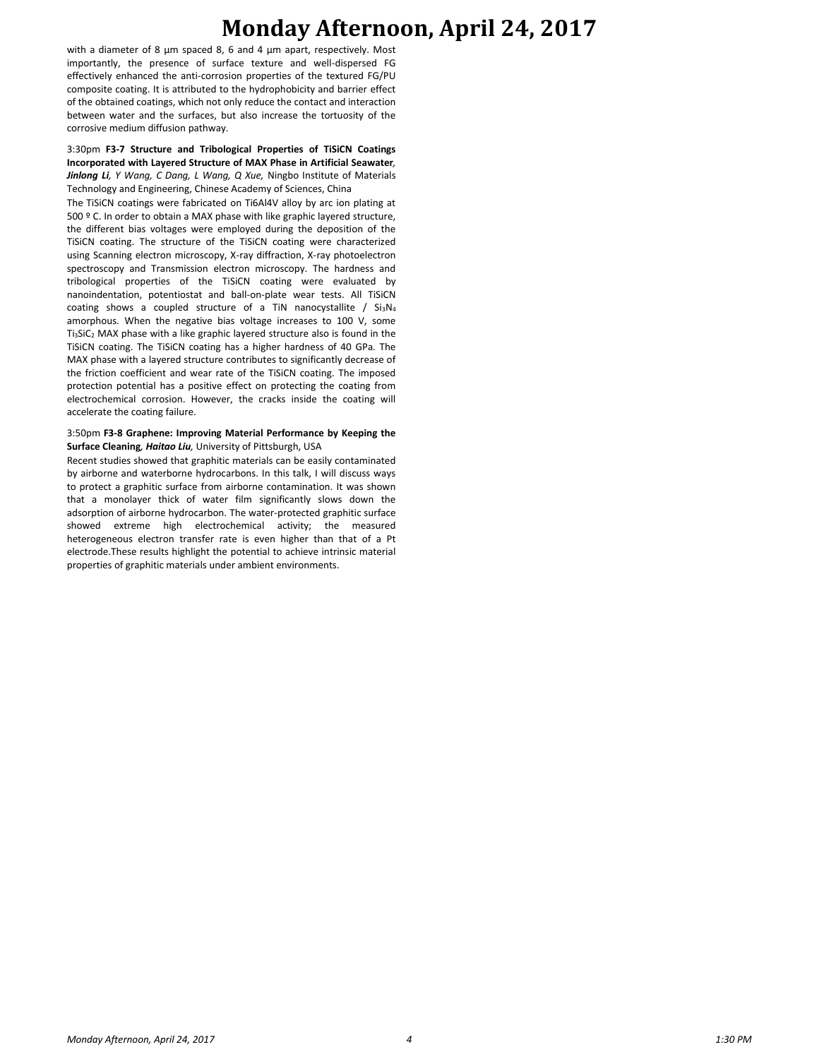# **Monday Afternoon, April 24, 2017**

with a diameter of 8 μm spaced 8, 6 and 4 μm apart, respectively. Most importantly, the presence of surface texture and well-dispersed FG effectively enhanced the anti-corrosion properties of the textured FG/PU composite coating. It is attributed to the hydrophobicity and barrier effect of the obtained coatings, which not only reduce the contact and interaction between water and the surfaces, but also increase the tortuosity of the corrosive medium diffusion pathway.

3:30pm **F3-7 Structure and Tribological Properties of TiSiCN Coatings Incorporated with Layered Structure of MAX Phase in Artificial Seawater***, Jinlong Li, Y Wang, C Dang, L Wang, Q Xue,* Ningbo Institute of Materials Technology and Engineering, Chinese Academy of Sciences, China

The TiSiCN coatings were fabricated on Ti6Al4V alloy by arc ion plating at 500 º C. In order to obtain a MAX phase with like graphic layered structure, the different bias voltages were employed during the deposition of the TiSiCN coating. The structure of the TiSiCN coating were characterized using Scanning electron microscopy, X-ray diffraction, X-ray photoelectron spectroscopy and Transmission electron microscopy. The hardness and tribological properties of the TiSiCN coating were evaluated by nanoindentation, potentiostat and ball-on-plate wear tests. All TiSiCN coating shows a coupled structure of a TiN nanocystallite /  $Si<sub>3</sub>N<sub>4</sub>$ amorphous. When the negative bias voltage increases to 100 V, some  $Ti<sub>3</sub>SiC<sub>2</sub> MAX phase with a like graphic layered structure also is found in the$ TiSiCN coating. The TiSiCN coating has a higher hardness of 40 GPa. The MAX phase with a layered structure contributes to significantly decrease of the friction coefficient and wear rate of the TiSiCN coating. The imposed protection potential has a positive effect on protecting the coating from electrochemical corrosion. However, the cracks inside the coating will accelerate the coating failure.

#### 3:50pm **F3-8 Graphene: Improving Material Performance by Keeping the Surface Cleaning***, Haitao Liu,* University of Pittsburgh, USA

Recent studies showed that graphitic materials can be easily contaminated by airborne and waterborne hydrocarbons. In this talk, I will discuss ways to protect a graphitic surface from airborne contamination. It was shown that a monolayer thick of water film significantly slows down the adsorption of airborne hydrocarbon. The water-protected graphitic surface showed extreme high electrochemical activity; the measured heterogeneous electron transfer rate is even higher than that of a Pt electrode.These results highlight the potential to achieve intrinsic material properties of graphitic materials under ambient environments.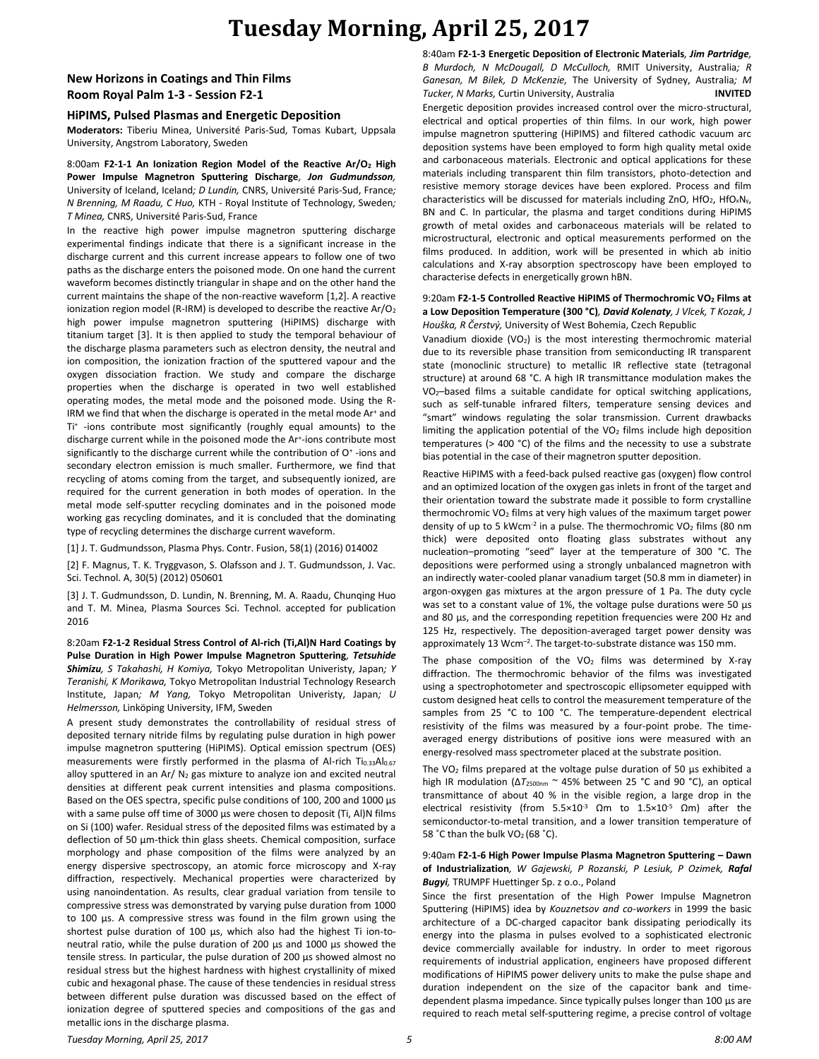# **Tuesday Morning, April 25, 2017**

### **New Horizons in Coatings and Thin Films Room Royal Palm 1-3 - Session F2-1**

#### **HiPIMS, Pulsed Plasmas and Energetic Deposition**

**Moderators:** Tiberiu Minea, Université Paris-Sud, Tomas Kubart, Uppsala University, Angstrom Laboratory, Sweden

8:00am **F2-1-1 An Ionization Region Model of the Reactive Ar/O<sup>2</sup> High Power Impulse Magnetron Sputtering Discharge***, Jon Gudmundsson,*  University of Iceland, Iceland*; D Lundin,* CNRS, Université Paris-Sud, France*; N Brenning, M Raadu, C Huo,* KTH - Royal Institute of Technology, Sweden*; T Minea,* CNRS, Université Paris-Sud, France

In the reactive high power impulse magnetron sputtering discharge experimental findings indicate that there is a significant increase in the discharge current and this current increase appears to follow one of two paths as the discharge enters the poisoned mode. On one hand the current waveform becomes distinctly triangular in shape and on the other hand the current maintains the shape of the non-reactive waveform [1,2]. A reactive ionization region model (R-IRM) is developed to describe the reactive Ar/O<sub>2</sub> high power impulse magnetron sputtering (HiPIMS) discharge with titanium target [3]. It is then applied to study the temporal behaviour of the discharge plasma parameters such as electron density, the neutral and ion composition, the ionization fraction of the sputtered vapour and the oxygen dissociation fraction. We study and compare the discharge properties when the discharge is operated in two well established operating modes, the metal mode and the poisoned mode. Using the R-IRM we find that when the discharge is operated in the metal mode Ar<sup>+</sup> and Ti+ -ions contribute most significantly (roughly equal amounts) to the discharge current while in the poisoned mode the Ar<sup>+</sup>-ions contribute most significantly to the discharge current while the contribution of O<sup>+</sup>-ions and secondary electron emission is much smaller. Furthermore, we find that recycling of atoms coming from the target, and subsequently ionized, are required for the current generation in both modes of operation. In the metal mode self-sputter recycling dominates and in the poisoned mode working gas recycling dominates, and it is concluded that the dominating type of recycling determines the discharge current waveform.

[1] J. T. Gudmundsson, Plasma Phys. Contr. Fusion, 58(1) (2016) 014002

[2] F. Magnus, T. K. Tryggvason, S. Olafsson and J. T. Gudmundsson, J. Vac. Sci. Technol. A, 30(5) (2012) 050601

[3] J. T. Gudmundsson, D. Lundin, N. Brenning, M. A. Raadu, Chunqing Huo and T. M. Minea, Plasma Sources Sci. Technol. accepted for publication 2016

8:20am **F2-1-2 Residual Stress Control of Al-rich (Ti,Al)N Hard Coatings by Pulse Duration in High Power Impulse Magnetron Sputtering***, Tetsuhide Shimizu, S Takahashi, H Komiya,* Tokyo Metropolitan Univeristy, Japan*; Y Teranishi, K Morikawa,* Tokyo Metropolitan Industrial Technology Research Institute, Japan*; M Yang,* Tokyo Metropolitan Univeristy, Japan*; U Helmersson,* Linköping University, IFM, Sweden

A present study demonstrates the controllability of residual stress of deposited ternary nitride films by regulating pulse duration in high power impulse magnetron sputtering (HiPIMS). Optical emission spectrum (OES) measurements were firstly performed in the plasma of Al-rich Ti<sub>0.33</sub>Al<sub>0.67</sub> alloy sputtered in an Ar/ $N_2$  gas mixture to analyze ion and excited neutral densities at different peak current intensities and plasma compositions. Based on the OES spectra, specific pulse conditions of 100, 200 and 1000 μs with a same pulse off time of 3000 μs were chosen to deposit (Ti, Al)N films on Si (100) wafer. Residual stress of the deposited films was estimated by a deflection of 50 μm-thick thin glass sheets. Chemical composition, surface morphology and phase composition of the films were analyzed by an energy dispersive spectroscopy, an atomic force microscopy and X-ray diffraction, respectively. Mechanical properties were characterized by using nanoindentation. As results, clear gradual variation from tensile to compressive stress was demonstrated by varying pulse duration from 1000 to 100 μs. A compressive stress was found in the film grown using the shortest pulse duration of 100 μs, which also had the highest Ti ion-toneutral ratio, while the pulse duration of 200 μs and 1000 μs showed the tensile stress. In particular, the pulse duration of 200 μs showed almost no residual stress but the highest hardness with highest crystallinity of mixed cubic and hexagonal phase. The cause of these tendencies in residual stress between different pulse duration was discussed based on the effect of ionization degree of sputtered species and compositions of the gas and metallic ions in the discharge plasma.

8:40am **F2-1-3 Energetic Deposition of Electronic Materials***, Jim Partridge, B Murdoch, N McDougall, D McCulloch,* RMIT University, Australia*; R Ganesan, M Bilek, D McKenzie,* The University of Sydney, Australia*; M Tucker, N Marks,* Curtin University, Australia **INVITED** Energetic deposition provides increased control over the micro-structural, electrical and optical properties of thin films. In our work, high power impulse magnetron sputtering (HiPIMS) and filtered cathodic vacuum arc deposition systems have been employed to form high quality metal oxide and carbonaceous materials. Electronic and optical applications for these materials including transparent thin film transistors, photo-detection and resistive memory storage devices have been explored. Process and film characteristics will be discussed for materials including ZnO, HfO<sub>2</sub>, HfO<sub>x</sub>N<sub>y</sub>, BN and C. In particular, the plasma and target conditions during HiPIMS growth of metal oxides and carbonaceous materials will be related to microstructural, electronic and optical measurements performed on the films produced. In addition, work will be presented in which ab initio calculations and X-ray absorption spectroscopy have been employed to characterise defects in energetically grown hBN.

#### 9:20am **F2-1-5 Controlled Reactive HiPIMS of Thermochromic VO<sup>2</sup> Films at a Low Deposition Temperature (300 °C)***, David Kolenaty, J Vlcek, T Kozak, J Houška, R Čerstvý,* University of West Bohemia, Czech Republic

Vanadium dioxide (VO<sub>2</sub>) is the most interesting thermochromic material due to its reversible phase transition from semiconducting IR transparent state (monoclinic structure) to metallic IR reflective state (tetragonal structure) at around 68 °C. A high IR transmittance modulation makes the VO2–based films a suitable candidate for optical switching applications, such as self-tunable infrared filters, temperature sensing devices and "smart" windows regulating the solar transmission. Current drawbacks limiting the application potential of the  $VO<sub>2</sub>$  films include high deposition temperatures (> 400 °C) of the films and the necessity to use a substrate bias potential in the case of their magnetron sputter deposition.

Reactive HiPIMS with a feed-back pulsed reactive gas (oxygen) flow control and an optimized location of the oxygen gas inlets in front of the target and their orientation toward the substrate made it possible to form crystalline thermochromic VO<sup>2</sup> films at very high values of the maximum target power density of up to 5 kWcm<sup>-2</sup> in a pulse. The thermochromic VO<sub>2</sub> films (80 nm thick) were deposited onto floating glass substrates without any nucleation–promoting "seed" layer at the temperature of 300 °C. The depositions were performed using a strongly unbalanced magnetron with an indirectly water-cooled planar vanadium target (50.8 mm in diameter) in argon-oxygen gas mixtures at the argon pressure of 1 Pa. The duty cycle was set to a constant value of 1%, the voltage pulse durations were 50 µs and 80 µs, and the corresponding repetition frequencies were 200 Hz and 125 Hz, respectively. The deposition-averaged target power density was approximately 13 Wcm<sup>-2</sup>. The target-to-substrate distance was 150 mm.

The phase composition of the VO<sub>2</sub> films was determined by X-ray diffraction. The thermochromic behavior of the films was investigated using a spectrophotometer and spectroscopic ellipsometer equipped with custom designed heat cells to control the measurement temperature of the samples from 25 °C to 100 °C. The temperature-dependent electrical resistivity of the films was measured by a four-point probe. The timeaveraged energy distributions of positive ions were measured with an energy-resolved mass spectrometer placed at the substrate position.

The VO<sub>2</sub> films prepared at the voltage pulse duration of 50  $\mu$ s exhibited a high IR modulation (ΔT<sub>2500nm</sub> ~ 45% between 25 °C and 90 °C), an optical transmittance of about 40 % in the visible region, a large drop in the electrical resistivity (from  $5.5 \times 10^{-3}$   $\Omega$ m to  $1.5 \times 10^{-5}$   $\Omega$ m) after the semiconductor-to-metal transition, and a lower transition temperature of 58  $°C$  than the bulk VO<sub>2</sub> (68  $°C$ ).

#### 9:40am **F2-1-6 High Power Impulse Plasma Magnetron Sputtering – Dawn of Industrialization***, W Gajewski, P Rozanski, P Lesiuk, P Ozimek, Rafal Bugyi,* TRUMPF Huettinger Sp. z o.o., Poland

Since the first presentation of the High Power Impulse Magnetron Sputtering (HiPIMS) idea by *Kouznetsov and co-workers* in 1999 the basic architecture of a DC-charged capacitor bank dissipating periodically its energy into the plasma in pulses evolved to a sophisticated electronic device commercially available for industry. In order to meet rigorous requirements of industrial application, engineers have proposed different modifications of HiPIMS power delivery units to make the pulse shape and duration independent on the size of the capacitor bank and timedependent plasma impedance. Since typically pulses longer than 100 μs are required to reach metal self-sputtering regime, a precise control of voltage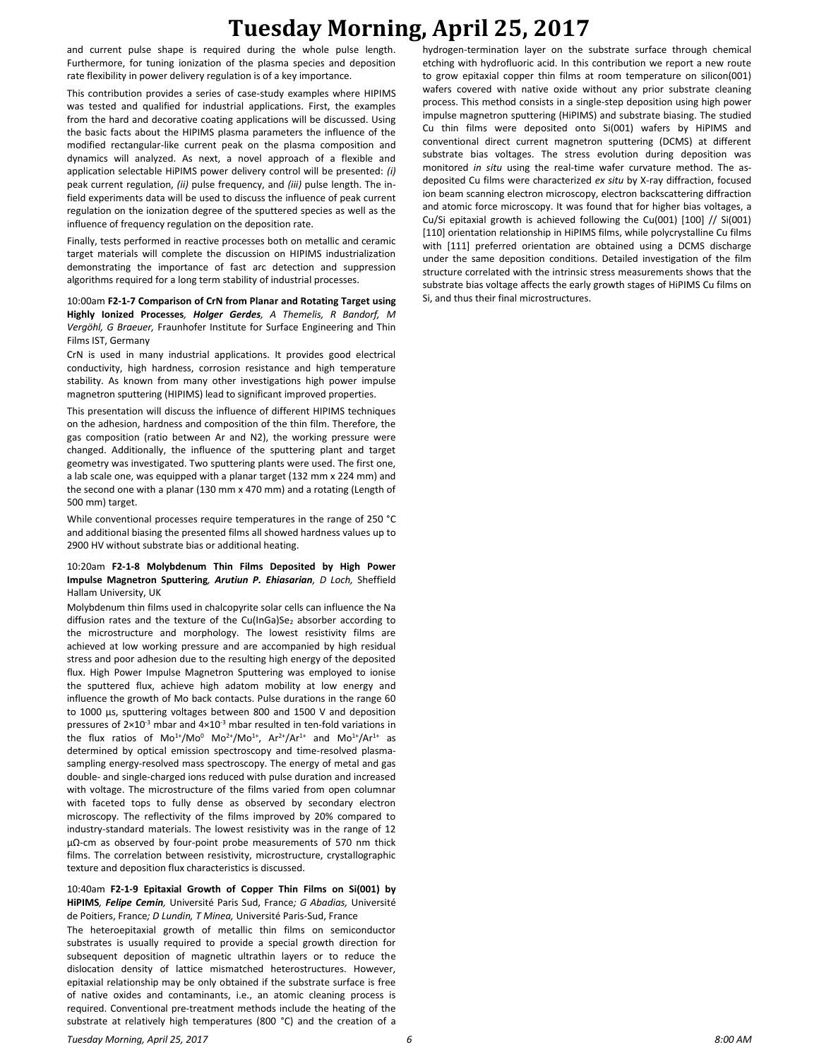# **Tuesday Morning, April 25, 2017**

and current pulse shape is required during the whole pulse length. Furthermore, for tuning ionization of the plasma species and deposition rate flexibility in power delivery regulation is of a key importance.

This contribution provides a series of case-study examples where HIPIMS was tested and qualified for industrial applications. First, the examples from the hard and decorative coating applications will be discussed. Using the basic facts about the HIPIMS plasma parameters the influence of the modified rectangular-like current peak on the plasma composition and dynamics will analyzed. As next, a novel approach of a flexible and application selectable HiPIMS power delivery control will be presented: *(i)* peak current regulation, *(ii)* pulse frequency, and *(iii)* pulse length. The infield experiments data will be used to discuss the influence of peak current regulation on the ionization degree of the sputtered species as well as the influence of frequency regulation on the deposition rate.

Finally, tests performed in reactive processes both on metallic and ceramic target materials will complete the discussion on HIPIMS industrialization demonstrating the importance of fast arc detection and suppression algorithms required for a long term stability of industrial processes.

10:00am **F2-1-7 Comparison of CrN from Planar and Rotating Target using Highly Ionized Processes***, Holger Gerdes, A Themelis, R Bandorf, M Vergöhl, G Braeuer,* Fraunhofer Institute for Surface Engineering and Thin Films IST, Germany

CrN is used in many industrial applications. It provides good electrical conductivity, high hardness, corrosion resistance and high temperature stability. As known from many other investigations high power impulse magnetron sputtering (HIPIMS) lead to significant improved properties.

This presentation will discuss the influence of different HIPIMS techniques on the adhesion, hardness and composition of the thin film. Therefore, the gas composition (ratio between Ar and N2), the working pressure were changed. Additionally, the influence of the sputtering plant and target geometry was investigated. Two sputtering plants were used. The first one, a lab scale one, was equipped with a planar target (132 mm x 224 mm) and the second one with a planar (130 mm x 470 mm) and a rotating (Length of 500 mm) target.

While conventional processes require temperatures in the range of 250 °C and additional biasing the presented films all showed hardness values up to 2900 HV without substrate bias or additional heating.

### 10:20am **F2-1-8 Molybdenum Thin Films Deposited by High Power Impulse Magnetron Sputtering***, Arutiun P. Ehiasarian, D Loch,* Sheffield Hallam University, UK

Molybdenum thin films used in chalcopyrite solar cells can influence the Na diffusion rates and the texture of the Cu(InGa)Se<sub>2</sub> absorber according to the microstructure and morphology. The lowest resistivity films are achieved at low working pressure and are accompanied by high residual stress and poor adhesion due to the resulting high energy of the deposited flux. High Power Impulse Magnetron Sputtering was employed to ionise the sputtered flux, achieve high adatom mobility at low energy and influence the growth of Mo back contacts. Pulse durations in the range 60 to 1000 µs, sputtering voltages between 800 and 1500 V and deposition pressures of  $2\times10^{-3}$  mbar and  $4\times10^{-3}$  mbar resulted in ten-fold variations in the flux ratios of  $Mo^{1+}/Mo^{0} Mo^{2+}/Mo^{1+}$ ,  $Ar^{2+}/Ar^{1+}$  and  $Mo^{1+}/Ar^{1+}$  as determined by optical emission spectroscopy and time-resolved plasmasampling energy-resolved mass spectroscopy. The energy of metal and gas double- and single-charged ions reduced with pulse duration and increased with voltage. The microstructure of the films varied from open columnar with faceted tops to fully dense as observed by secondary electron microscopy. The reflectivity of the films improved by 20% compared to industry-standard materials. The lowest resistivity was in the range of 12 µΩ-cm as observed by four-point probe measurements of 570 nm thick films. The correlation between resistivity, microstructure, crystallographic texture and deposition flux characteristics is discussed.

### 10:40am **F2-1-9 Epitaxial Growth of Copper Thin Films on Si(001) by HiPIMS***, Felipe Cemin,* Université Paris Sud, France*; G Abadias,* Université de Poitiers, France*; D Lundin, T Minea,* Université Paris-Sud, France

The heteroepitaxial growth of metallic thin films on semiconductor substrates is usually required to provide a special growth direction for subsequent deposition of magnetic ultrathin layers or to reduce the dislocation density of lattice mismatched heterostructures. However, epitaxial relationship may be only obtained if the substrate surface is free of native oxides and contaminants, i.e., an atomic cleaning process is required. Conventional pre-treatment methods include the heating of the substrate at relatively high temperatures (800 °C) and the creation of a hydrogen-termination layer on the substrate surface through chemical etching with hydrofluoric acid. In this contribution we report a new route to grow epitaxial copper thin films at room temperature on silicon(001) wafers covered with native oxide without any prior substrate cleaning process. This method consists in a single-step deposition using high power impulse magnetron sputtering (HiPIMS) and substrate biasing. The studied Cu thin films were deposited onto Si(001) wafers by HiPIMS and conventional direct current magnetron sputtering (DCMS) at different substrate bias voltages. The stress evolution during deposition was monitored *in situ* using the real-time wafer curvature method. The asdeposited Cu films were characterized *ex situ* by X-ray diffraction, focused ion beam scanning electron microscopy, electron backscattering diffraction and atomic force microscopy. It was found that for higher bias voltages, a Cu/Si epitaxial growth is achieved following the Cu(001) [100] // Si(001) [110] orientation relationship in HiPIMS films, while polycrystalline Cu films with [111] preferred orientation are obtained using a DCMS discharge under the same deposition conditions. Detailed investigation of the film structure correlated with the intrinsic stress measurements shows that the substrate bias voltage affects the early growth stages of HiPIMS Cu films on Si, and thus their final microstructures.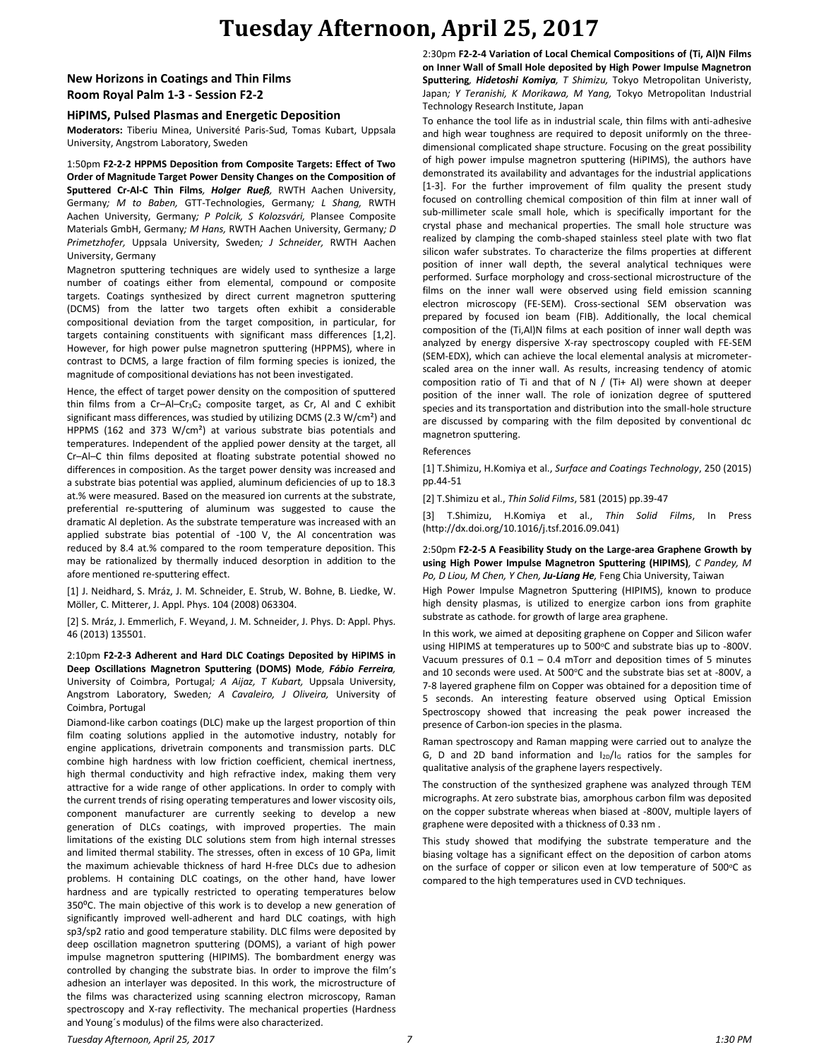# **Tuesday Afternoon, April 25, 2017**

### **New Horizons in Coatings and Thin Films Room Royal Palm 1-3 - Session F2-2**

### **HiPIMS, Pulsed Plasmas and Energetic Deposition**

**Moderators:** Tiberiu Minea, Université Paris-Sud, Tomas Kubart, Uppsala University, Angstrom Laboratory, Sweden

1:50pm **F2-2-2 HPPMS Deposition from Composite Targets: Effect of Two Order of Magnitude Target Power Density Changes on the Composition of Sputtered Cr-Al-C Thin Films***, Holger Rueß,* RWTH Aachen University, Germany*; M to Baben,* GTT-Technologies, Germany*; L Shang,* RWTH Aachen University, Germany*; P Polcik, S Kolozsvári,* Plansee Composite Materials GmbH, Germany*; M Hans,* RWTH Aachen University, Germany*; D Primetzhofer,* Uppsala University, Sweden*; J Schneider,* RWTH Aachen University, Germany

Magnetron sputtering techniques are widely used to synthesize a large number of coatings either from elemental, compound or composite targets. Coatings synthesized by direct current magnetron sputtering (DCMS) from the latter two targets often exhibit a considerable compositional deviation from the target composition, in particular, for targets containing constituents with significant mass differences [1,2]. However, for high power pulse magnetron sputtering (HPPMS), where in contrast to DCMS, a large fraction of film forming species is ionized, the magnitude of compositional deviations has not been investigated.

Hence, the effect of target power density on the composition of sputtered thin films from a Cr-Al-Cr<sub>3</sub>C<sub>2</sub> composite target, as Cr, Al and C exhibit significant mass differences, was studied by utilizing DCMS (2.3 W/cm²) and HPPMS (162 and 373 W/cm²) at various substrate bias potentials and temperatures. Independent of the applied power density at the target, all Cr–Al–C thin films deposited at floating substrate potential showed no differences in composition. As the target power density was increased and a substrate bias potential was applied, aluminum deficiencies of up to 18.3 at.% were measured. Based on the measured ion currents at the substrate, preferential re-sputtering of aluminum was suggested to cause the dramatic Al depletion. As the substrate temperature was increased with an applied substrate bias potential of -100 V, the Al concentration was reduced by 8.4 at.% compared to the room temperature deposition. This may be rationalized by thermally induced desorption in addition to the afore mentioned re-sputtering effect.

[1] J. Neidhard, S. Mráz, J. M. Schneider, E. Strub, W. Bohne, B. Liedke, W. Möller, C. Mitterer, J. Appl. Phys. 104 (2008) 063304.

[2] S. Mráz, J. Emmerlich, F. Weyand, J. M. Schneider, J. Phys. D: Appl. Phys. 46 (2013) 135501.

2:10pm **F2-2-3 Adherent and Hard DLC Coatings Deposited by HiPIMS in Deep Oscillations Magnetron Sputtering (DOMS) Mode***, Fábio Ferreira,*  University of Coimbra, Portugal*; A Aijaz, T Kubart,* Uppsala University, Angstrom Laboratory, Sweden*; A Cavaleiro, J Oliveira,* University of Coimbra, Portugal

Diamond-like carbon coatings (DLC) make up the largest proportion of thin film coating solutions applied in the automotive industry, notably for engine applications, drivetrain components and transmission parts. DLC combine high hardness with low friction coefficient, chemical inertness, high thermal conductivity and high refractive index, making them very attractive for a wide range of other applications. In order to comply with the current trends of rising operating temperatures and lower viscosity oils, component manufacturer are currently seeking to develop a new generation of DLCs coatings, with improved properties. The main limitations of the existing DLC solutions stem from high internal stresses and limited thermal stability. The stresses, often in excess of 10 GPa, limit the maximum achievable thickness of hard H-free DLCs due to adhesion problems. H containing DLC coatings, on the other hand, have lower hardness and are typically restricted to operating temperatures below 350⁰C. The main objective of this work is to develop a new generation of significantly improved well-adherent and hard DLC coatings, with high sp3/sp2 ratio and good temperature stability. DLC films were deposited by deep oscillation magnetron sputtering (DOMS), a variant of high power impulse magnetron sputtering (HIPIMS). The bombardment energy was controlled by changing the substrate bias. In order to improve the film's adhesion an interlayer was deposited. In this work, the microstructure of the films was characterized using scanning electron microscopy, Raman spectroscopy and X-ray reflectivity. The mechanical properties (Hardness and Young´s modulus) of the films were also characterized.

2:30pm **F2-2-4 Variation of Local Chemical Compositions of (Ti, Al)N Films on Inner Wall of Small Hole deposited by High Power Impulse Magnetron Sputtering***, Hidetoshi Komiya, T Shimizu,* Tokyo Metropolitan Univeristy, Japan*; Y Teranishi, K Morikawa, M Yang,* Tokyo Metropolitan Industrial Technology Research Institute, Japan

To enhance the tool life as in industrial scale, thin films with anti-adhesive and high wear toughness are required to deposit uniformly on the threedimensional complicated shape structure. Focusing on the great possibility of high power impulse magnetron sputtering (HiPIMS), the authors have demonstrated its availability and advantages for the industrial applications [1-3]. For the further improvement of film quality the present study focused on controlling chemical composition of thin film at inner wall of sub-millimeter scale small hole, which is specifically important for the crystal phase and mechanical properties. The small hole structure was realized by clamping the comb-shaped stainless steel plate with two flat silicon wafer substrates. To characterize the films properties at different position of inner wall depth, the several analytical techniques were performed. Surface morphology and cross-sectional microstructure of the films on the inner wall were observed using field emission scanning electron microscopy (FE-SEM). Cross-sectional SEM observation was prepared by focused ion beam (FIB). Additionally, the local chemical composition of the (Ti,Al)N films at each position of inner wall depth was analyzed by energy dispersive X-ray spectroscopy coupled with FE-SEM (SEM-EDX), which can achieve the local elemental analysis at micrometerscaled area on the inner wall. As results, increasing tendency of atomic composition ratio of Ti and that of N / (Ti+ Al) were shown at deeper position of the inner wall. The role of ionization degree of sputtered species and its transportation and distribution into the small-hole structure are discussed by comparing with the film deposited by conventional dc magnetron sputtering.

#### References

[1] T.Shimizu, H.Komiya et al., *Surface and Coatings Technology*, 250 (2015) pp.44-51

[2] T.Shimizu et al., *Thin Solid Films*, 581 (2015) pp.39-47

[3] T.Shimizu, H.Komiya et al., *Thin Solid Films*, In Press (http://dx.doi.org/10.1016/j.tsf.2016.09.041)

#### 2:50pm **F2-2-5 A Feasibility Study on the Large-area Graphene Growth by using High Power Impulse Magnetron Sputtering (HIPIMS)***, C Pandey, M Po, D Liou, M Chen, Y Chen, Ju-Liang He,* Feng Chia University, Taiwan

High Power Impulse Magnetron Sputtering (HIPIMS), known to produce high density plasmas, is utilized to energize carbon ions from graphite substrate as cathode. for growth of large area graphene.

In this work, we aimed at depositing graphene on Copper and Silicon wafer using HIPIMS at temperatures up to 500°C and substrate bias up to -800V. Vacuum pressures of  $0.1 - 0.4$  mTorr and deposition times of 5 minutes and 10 seconds were used. At 500°C and the substrate bias set at -800V, a 7-8 layered graphene film on Copper was obtained for a deposition time of 5 seconds. An interesting feature observed using Optical Emission Spectroscopy showed that increasing the peak power increased the presence of Carbon-ion species in the plasma.

Raman spectroscopy and Raman mapping were carried out to analyze the G, D and 2D band information and I<sub>2D</sub>/I<sub>G</sub> ratios for the samples for qualitative analysis of the graphene layers respectively.

The construction of the synthesized graphene was analyzed through TEM micrographs. At zero substrate bias, amorphous carbon film was deposited on the copper substrate whereas when biased at -800V, multiple layers of graphene were deposited with a thickness of 0.33 nm .

This study showed that modifying the substrate temperature and the biasing voltage has a significant effect on the deposition of carbon atoms on the surface of copper or silicon even at low temperature of 500°C as compared to the high temperatures used in CVD techniques.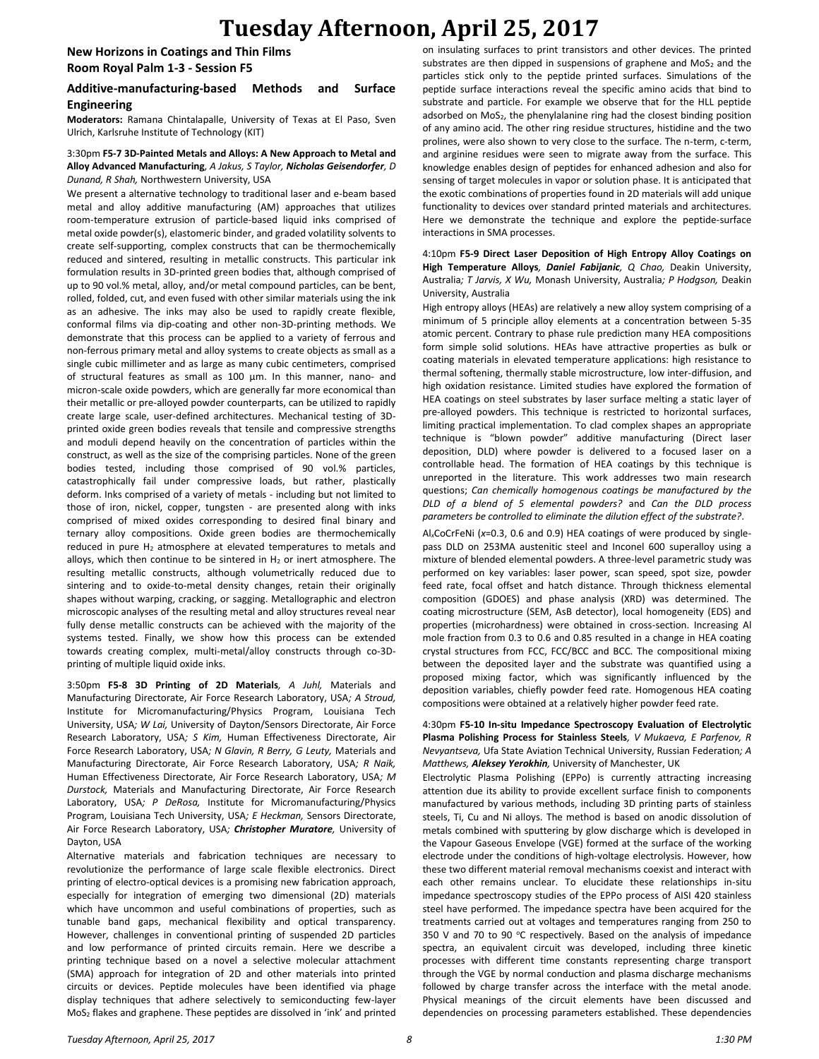## **Tuesday Afternoon, April 25, 2017**

**New Horizons in Coatings and Thin Films Room Royal Palm 1-3 - Session F5**

### **Additive-manufacturing-based Methods and Surface Engineering**

**Moderators:** Ramana Chintalapalle, University of Texas at El Paso, Sven Ulrich, Karlsruhe Institute of Technology (KIT)

### 3:30pm **F5-7 3D-Painted Metals and Alloys: A New Approach to Metal and Alloy Advanced Manufacturing***, A Jakus, S Taylor, Nicholas Geisendorfer, D Dunand, R Shah,* Northwestern University, USA

We present a alternative technology to traditional laser and e-beam based metal and alloy additive manufacturing (AM) approaches that utilizes room-temperature extrusion of particle-based liquid inks comprised of metal oxide powder(s), elastomeric binder, and graded volatility solvents to create self-supporting, complex constructs that can be thermochemically reduced and sintered, resulting in metallic constructs. This particular ink formulation results in 3D-printed green bodies that, although comprised of up to 90 vol.% metal, alloy, and/or metal compound particles, can be bent, rolled, folded, cut, and even fused with other similar materials using the ink as an adhesive. The inks may also be used to rapidly create flexible, conformal films via dip-coating and other non-3D-printing methods. We demonstrate that this process can be applied to a variety of ferrous and non-ferrous primary metal and alloy systems to create objects as small as a single cubic millimeter and as large as many cubic centimeters, comprised of structural features as small as 100 µm. In this manner, nano- and micron-scale oxide powders, which are generally far more economical than their metallic or pre-alloyed powder counterparts, can be utilized to rapidly create large scale, user-defined architectures. Mechanical testing of 3Dprinted oxide green bodies reveals that tensile and compressive strengths and moduli depend heavily on the concentration of particles within the construct, as well as the size of the comprising particles. None of the green bodies tested, including those comprised of 90 vol.% particles, catastrophically fail under compressive loads, but rather, plastically deform. Inks comprised of a variety of metals - including but not limited to those of iron, nickel, copper, tungsten - are presented along with inks comprised of mixed oxides corresponding to desired final binary and ternary alloy compositions. Oxide green bodies are thermochemically reduced in pure H<sub>2</sub> atmosphere at elevated temperatures to metals and alloys, which then continue to be sintered in  $H_2$  or inert atmosphere. The resulting metallic constructs, although volumetrically reduced due to sintering and to oxide-to-metal density changes, retain their originally shapes without warping, cracking, or sagging. Metallographic and electron microscopic analyses of the resulting metal and alloy structures reveal near fully dense metallic constructs can be achieved with the majority of the systems tested. Finally, we show how this process can be extended towards creating complex, multi-metal/alloy constructs through co-3Dprinting of multiple liquid oxide inks.

3:50pm **F5-8 3D Printing of 2D Materials***, A Juhl,* Materials and Manufacturing Directorate, Air Force Research Laboratory, USA*; A Stroud,*  Institute for Micromanufacturing/Physics Program, Louisiana Tech University, USA*; W Lai,* University of Dayton/Sensors Directorate, Air Force Research Laboratory, USA*; S Kim,* Human Effectiveness Directorate, Air Force Research Laboratory, USA*; N Glavin, R Berry, G Leuty,* Materials and Manufacturing Directorate, Air Force Research Laboratory, USA*; R Naik,*  Human Effectiveness Directorate, Air Force Research Laboratory, USA*; M Durstock,* Materials and Manufacturing Directorate, Air Force Research Laboratory, USA*; P DeRosa,* Institute for Micromanufacturing/Physics Program, Louisiana Tech University, USA*; E Heckman,* Sensors Directorate, Air Force Research Laboratory, USA*; Christopher Muratore,* University of Dayton, USA

Alternative materials and fabrication techniques are necessary to revolutionize the performance of large scale flexible electronics. Direct printing of electro-optical devices is a promising new fabrication approach, especially for integration of emerging two dimensional (2D) materials which have uncommon and useful combinations of properties, such as tunable band gaps, mechanical flexibility and optical transparency. However, challenges in conventional printing of suspended 2D particles and low performance of printed circuits remain. Here we describe a printing technique based on a novel a selective molecular attachment (SMA) approach for integration of 2D and other materials into printed circuits or devices. Peptide molecules have been identified via phage display techniques that adhere selectively to semiconducting few-layer MoS<sup>2</sup> flakes and graphene. These peptides are dissolved in 'ink' and printed on insulating surfaces to print transistors and other devices. The printed substrates are then dipped in suspensions of graphene and  $MoS<sub>2</sub>$  and the particles stick only to the peptide printed surfaces. Simulations of the peptide surface interactions reveal the specific amino acids that bind to substrate and particle. For example we observe that for the HLL peptide adsorbed on MoS<sub>2</sub>, the phenylalanine ring had the closest binding position of any amino acid. The other ring residue structures, histidine and the two prolines, were also shown to very close to the surface. The n-term, c-term, and arginine residues were seen to migrate away from the surface. This knowledge enables design of peptides for enhanced adhesion and also for sensing of target molecules in vapor or solution phase. It is anticipated that the exotic combinations of properties found in 2D materials will add unique functionality to devices over standard printed materials and architectures. Here we demonstrate the technique and explore the peptide-surface interactions in SMA processes.

#### 4:10pm **F5-9 Direct Laser Deposition of High Entropy Alloy Coatings on High Temperature Alloys***, Daniel Fabijanic, Q Chao,* Deakin University, Australia*; T Jarvis, X Wu,* Monash University, Australia*; P Hodgson,* Deakin University, Australia

High entropy alloys (HEAs) are relatively a new alloy system comprising of a minimum of 5 principle alloy elements at a concentration between 5-35 atomic percent. Contrary to phase rule prediction many HEA compositions form simple solid solutions. HEAs have attractive properties as bulk or coating materials in elevated temperature applications: high resistance to thermal softening, thermally stable microstructure, low inter-diffusion, and high oxidation resistance. Limited studies have explored the formation of HEA coatings on steel substrates by laser surface melting a static layer of pre-alloyed powders. This technique is restricted to horizontal surfaces, limiting practical implementation. To clad complex shapes an appropriate technique is "blown powder" additive manufacturing (Direct laser deposition, DLD) where powder is delivered to a focused laser on a controllable head. The formation of HEA coatings by this technique is unreported in the literature. This work addresses two main research questions; *Can chemically homogenous coatings be manufactured by the DLD of a blend of 5 elemental powders?* and *Can the DLD process parameters be controlled to eliminate the dilution effect of the substrate?*.

Al*x*CoCrFeNi (*x*=0.3, 0.6 and 0.9) HEA coatings of were produced by singlepass DLD on 253MA austenitic steel and Inconel 600 superalloy using a mixture of blended elemental powders. A three-level parametric study was performed on key variables: laser power, scan speed, spot size, powder feed rate, focal offset and hatch distance. Through thickness elemental composition (GDOES) and phase analysis (XRD) was determined. The coating microstructure (SEM, AsB detector), local homogeneity (EDS) and properties (microhardness) were obtained in cross-section. Increasing Al mole fraction from 0.3 to 0.6 and 0.85 resulted in a change in HEA coating crystal structures from FCC, FCC/BCC and BCC. The compositional mixing between the deposited layer and the substrate was quantified using a proposed mixing factor, which was significantly influenced by the deposition variables, chiefly powder feed rate. Homogenous HEA coating compositions were obtained at a relatively higher powder feed rate.

4:30pm **F5-10 In-situ Impedance Spectroscopy Evaluation of Electrolytic Plasma Polishing Process for Stainless Steels***, V Mukaeva, E Parfenov, R Nevyantseva,* Ufa State Aviation Technical University, Russian Federation*; A Matthews, Aleksey Yerokhin,* University of Manchester, UK

Electrolytic Plasma Polishing (EPPo) is currently attracting increasing attention due its ability to provide excellent surface finish to components manufactured by various methods, including 3D printing parts of stainless steels, Ti, Cu and Ni alloys. The method is based on anodic dissolution of metals combined with sputtering by glow discharge which is developed in the Vapour Gaseous Envelope (VGE) formed at the surface of the working electrode under the conditions of high-voltage electrolysis. However, how these two different material removal mechanisms coexist and interact with each other remains unclear. To elucidate these relationships in-situ impedance spectroscopy studies of the EPPo process of AISI 420 stainless steel have performed. The impedance spectra have been acquired for the treatments carried out at voltages and temperatures ranging from 250 to 350 V and 70 to 90  $\degree$ C respectively. Based on the analysis of impedance spectra, an equivalent circuit was developed, including three kinetic processes with different time constants representing charge transport through the VGE by normal conduction and plasma discharge mechanisms followed by charge transfer across the interface with the metal anode. Physical meanings of the circuit elements have been discussed and dependencies on processing parameters established. These dependencies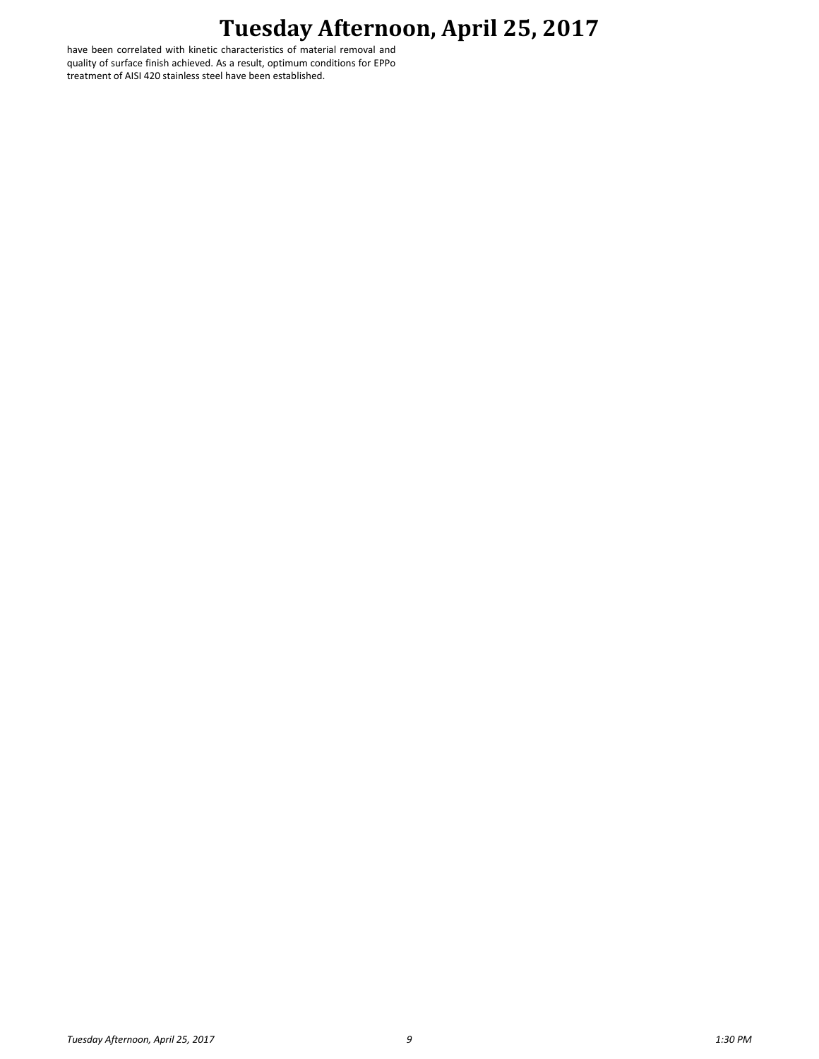# **Tuesday Afternoon, April 25, 2017**

have been correlated with kinetic characteristics of material removal and quality of surface finish achieved. As a result, optimum conditions for EPPo treatment of AISI 420 stainless steel have been established.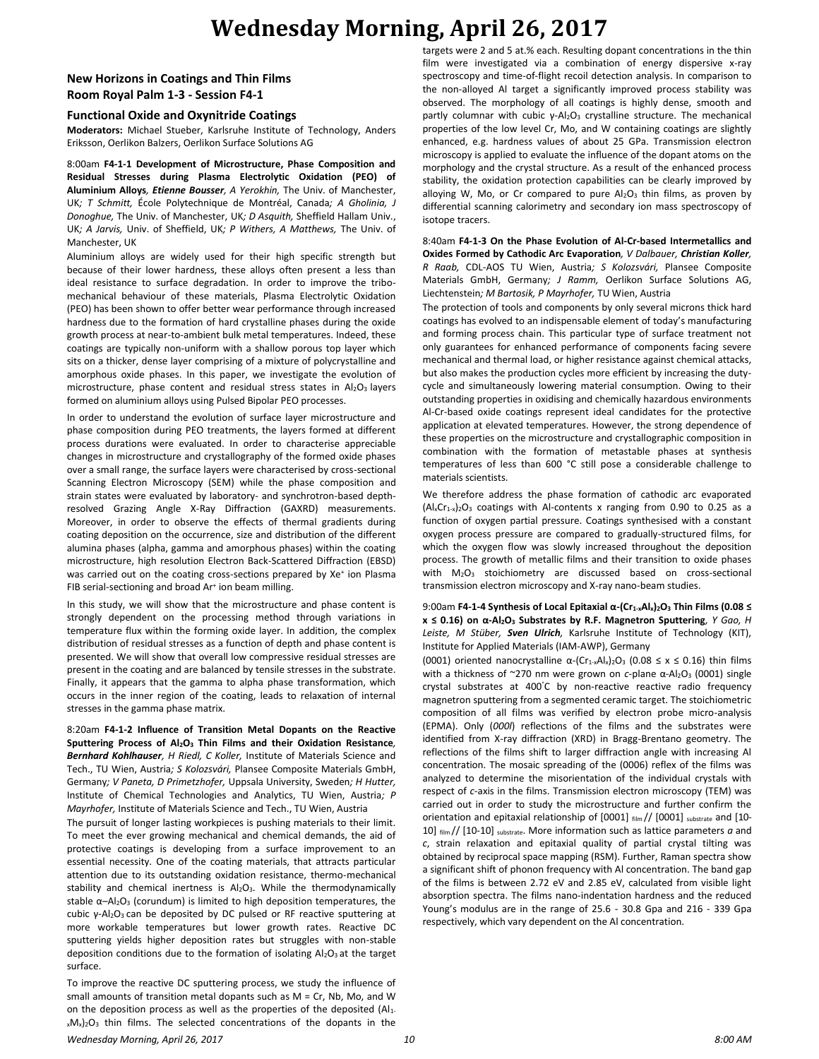# **Wednesday Morning, April 26, 2017**

## **New Horizons in Coatings and Thin Films Room Royal Palm 1-3 - Session F4-1**

### **Functional Oxide and Oxynitride Coatings**

**Moderators:** Michael Stueber, Karlsruhe Institute of Technology, Anders Eriksson, Oerlikon Balzers, Oerlikon Surface Solutions AG

8:00am **F4-1-1 Development of Microstructure, Phase Composition and Residual Stresses during Plasma Electrolytic Oxidation (PEO) of Aluminium Alloys***, Etienne Bousser, A Yerokhin,* The Univ. of Manchester, UK*; T Schmitt,* École Polytechnique de Montréal, Canada*; A Gholinia, J Donoghue,* The Univ. of Manchester, UK*; D Asquith,* Sheffield Hallam Univ., UK*; A Jarvis,* Univ. of Sheffield, UK*; P Withers, A Matthews,* The Univ. of Manchester, UK

Aluminium alloys are widely used for their high specific strength but because of their lower hardness, these alloys often present a less than ideal resistance to surface degradation. In order to improve the tribomechanical behaviour of these materials, Plasma Electrolytic Oxidation (PEO) has been shown to offer better wear performance through increased hardness due to the formation of hard crystalline phases during the oxide growth process at near-to-ambient bulk metal temperatures. Indeed, these coatings are typically non-uniform with a shallow porous top layer which sits on a thicker, dense layer comprising of a mixture of polycrystalline and amorphous oxide phases. In this paper, we investigate the evolution of microstructure, phase content and residual stress states in Al2O3 layers formed on aluminium alloys using Pulsed Bipolar PEO processes.

In order to understand the evolution of surface layer microstructure and phase composition during PEO treatments, the layers formed at different process durations were evaluated. In order to characterise appreciable changes in microstructure and crystallography of the formed oxide phases over a small range, the surface layers were characterised by cross-sectional Scanning Electron Microscopy (SEM) while the phase composition and strain states were evaluated by laboratory- and synchrotron-based depthresolved Grazing Angle X-Ray Diffraction (GAXRD) measurements. Moreover, in order to observe the effects of thermal gradients during coating deposition on the occurrence, size and distribution of the different alumina phases (alpha, gamma and amorphous phases) within the coating microstructure, high resolution Electron Back-Scattered Diffraction (EBSD) was carried out on the coating cross-sections prepared by Xe<sup>+</sup> ion Plasma FIB serial-sectioning and broad Ar<sup>+</sup> ion beam milling.

In this study, we will show that the microstructure and phase content is strongly dependent on the processing method through variations in temperature flux within the forming oxide layer. In addition, the complex distribution of residual stresses as a function of depth and phase content is presented. We will show that overall low compressive residual stresses are present in the coating and are balanced by tensile stresses in the substrate. Finally, it appears that the gamma to alpha phase transformation, which occurs in the inner region of the coating, leads to relaxation of internal stresses in the gamma phase matrix.

8:20am **F4-1-2 Influence of Transition Metal Dopants on the Reactive Sputtering Process of Al2O<sup>3</sup> Thin Films and their Oxidation Resistance***, Bernhard Kohlhauser, H Riedl, C Koller,* Institute of Materials Science and Tech., TU Wien, Austria*; S Kolozsvári,* Plansee Composite Materials GmbH, Germany*; V Paneta, D Primetzhofer,* Uppsala University, Sweden*; H Hutter,*  Institute of Chemical Technologies and Analytics, TU Wien, Austria*; P Mayrhofer,* Institute of Materials Science and Tech., TU Wien, Austria

The pursuit of longer lasting workpieces is pushing materials to their limit. To meet the ever growing mechanical and chemical demands, the aid of protective coatings is developing from a surface improvement to an essential necessity. One of the coating materials, that attracts particular attention due to its outstanding oxidation resistance, thermo-mechanical stability and chemical inertness is  $Al_2O_3$ . While the thermodynamically stable  $\alpha$ –Al<sub>2</sub>O<sub>3</sub> (corundum) is limited to high deposition temperatures, the cubic γ-Al2O3 can be deposited by DC pulsed or RF reactive sputtering at more workable temperatures but lower growth rates. Reactive DC sputtering yields higher deposition rates but struggles with non-stable deposition conditions due to the formation of isolating  $Al_2O_3$  at the target surface.

To improve the reactive DC sputtering process, we study the influence of small amounts of transition metal dopants such as  $M = Cr$ . Nb, Mo, and W on the deposition process as well as the properties of the deposited (Al1 $x/M_x$ )<sub>2</sub>O<sub>3</sub> thin films. The selected concentrations of the dopants in the

targets were 2 and 5 at.% each. Resulting dopant concentrations in the thin film were investigated via a combination of energy dispersive x-ray spectroscopy and time-of-flight recoil detection analysis. In comparison to the non-alloyed Al target a significantly improved process stability was observed. The morphology of all coatings is highly dense, smooth and partly columnar with cubic γ-Al<sub>2</sub>O<sub>3</sub> crystalline structure. The mechanical properties of the low level Cr, Mo, and W containing coatings are slightly enhanced, e.g. hardness values of about 25 GPa. Transmission electron microscopy is applied to evaluate the influence of the dopant atoms on the morphology and the crystal structure. As a result of the enhanced process stability, the oxidation protection capabilities can be clearly improved by alloying W, Mo, or Cr compared to pure  $Al_2O_3$  thin films, as proven by differential scanning calorimetry and secondary ion mass spectroscopy of isotope tracers.

8:40am **F4-1-3 On the Phase Evolution of Al-Cr-based Intermetallics and Oxides Formed by Cathodic Arc Evaporation***, V Dalbauer, Christian Koller, R Raab,* CDL-AOS TU Wien, Austria*; S Kolozsvári,* Plansee Composite Materials GmbH, Germany*; J Ramm,* Oerlikon Surface Solutions AG, Liechtenstein*; M Bartosik, P Mayrhofer,* TU Wien, Austria

The protection of tools and components by only several microns thick hard coatings has evolved to an indispensable element of today's manufacturing and forming process chain. This particular type of surface treatment not only guarantees for enhanced performance of components facing severe mechanical and thermal load, or higher resistance against chemical attacks, but also makes the production cycles more efficient by increasing the dutycycle and simultaneously lowering material consumption. Owing to their outstanding properties in oxidising and chemically hazardous environments Al-Cr-based oxide coatings represent ideal candidates for the protective application at elevated temperatures. However, the strong dependence of these properties on the microstructure and crystallographic composition in combination with the formation of metastable phases at synthesis temperatures of less than 600 °C still pose a considerable challenge to materials scientists.

We therefore address the phase formation of cathodic arc evaporated  $(A|xCr<sub>1-x</sub>)<sub>2</sub>O<sub>3</sub>$  coatings with Al-contents x ranging from 0.90 to 0.25 as a function of oxygen partial pressure. Coatings synthesised with a constant oxygen process pressure are compared to gradually-structured films, for which the oxygen flow was slowly increased throughout the deposition process. The growth of metallic films and their transition to oxide phases with M<sub>2</sub>O<sub>3</sub> stoichiometry are discussed based on cross-sectional transmission electron microscopy and X-ray nano-beam studies.

#### 9:00am **F4-1-4 Synthesis of Local Epitaxial α-(Cr1-xAlx)2O<sup>3</sup> Thin Films (0.08 ≤ x ≤ 0.16) on α-Al2O<sup>3</sup> Substrates by R.F. Magnetron Sputtering***, Y Gao, H Leiste, M Stüber, Sven Ulrich,* Karlsruhe Institute of Technology (KIT), Institute for Applied Materials (IAM-AWP), Germany

(0001) oriented nanocrystalline  $\alpha$ -(Cr<sub>1-x</sub>Al<sub>x</sub>)<sub>2</sub>O<sub>3</sub> (0.08  $\leq$  x  $\leq$  0.16) thin films with a thickness of ~270 nm were grown on *c*-plane α-Al<sub>2</sub>O<sub>3</sub> (0001) single crystal substrates at 400°C by non-reactive reactive radio frequency magnetron sputtering from a segmented ceramic target. The stoichiometric composition of all films was verified by electron probe micro-analysis (EPMA). Only (*000l*) reflections of the films and the substrates were identified from X-ray diffraction (XRD) in Bragg-Brentano geometry. The reflections of the films shift to larger diffraction angle with increasing Al concentration. The mosaic spreading of the (0006) reflex of the films was analyzed to determine the misorientation of the individual crystals with respect of *c*-axis in the films. Transmission electron microscopy (TEM) was carried out in order to study the microstructure and further confirm the orientation and epitaxial relationship of [0001] film // [0001] substrate and [10-10] film // [10-10] substrate. More information such as lattice parameters  $a$  and *c*, strain relaxation and epitaxial quality of partial crystal tilting was obtained by reciprocal space mapping (RSM). Further, Raman spectra show a significant shift of phonon frequency with Al concentration. The band gap of the films is between 2.72 eV and 2.85 eV, calculated from visible light absorption spectra. The films nano-indentation hardness and the reduced Young's modulus are in the range of 25.6 - 30.8 Gpa and 216 - 339 Gpa respectively, which vary dependent on the Al concentration.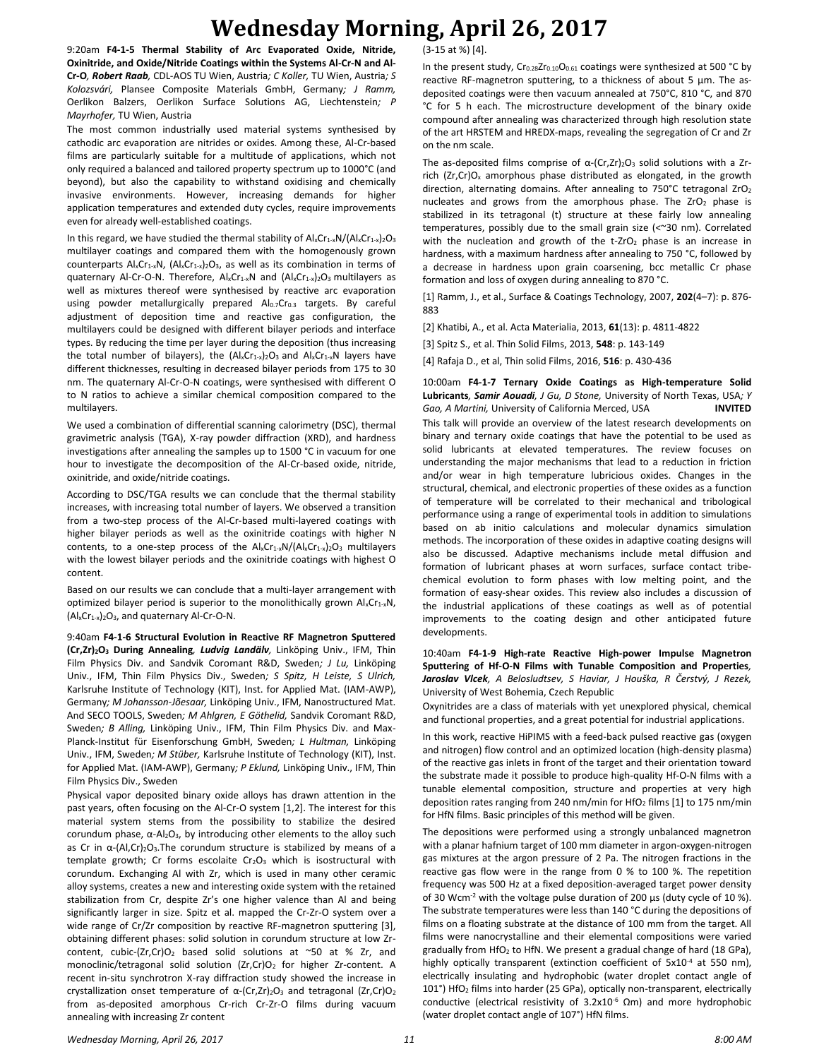# **Wednesday Morning, April 26, 2017**

9:20am **F4-1-5 Thermal Stability of Arc Evaporated Oxide, Nitride, Oxinitride, and Oxide/Nitride Coatings within the Systems Al-Cr-N and Al-Cr-O***, Robert Raab,* CDL-AOS TU Wien, Austria*; C Koller,* TU Wien, Austria*; S Kolozsvári,* Plansee Composite Materials GmbH, Germany*; J Ramm,*  Oerlikon Balzers, Oerlikon Surface Solutions AG, Liechtenstein*; P Mayrhofer,* TU Wien, Austria

The most common industrially used material systems synthesised by cathodic arc evaporation are nitrides or oxides. Among these, Al-Cr-based films are particularly suitable for a multitude of applications, which not only required a balanced and tailored property spectrum up to 1000°C (and beyond), but also the capability to withstand oxidising and chemically invasive environments. However, increasing demands for higher application temperatures and extended duty cycles, require improvements even for already well-established coatings.

In this regard, we have studied the thermal stability of  $AI_xCr_{1-x}N/(Al_xCr_{1-x})_2O_3$ multilayer coatings and compared them with the homogenously grown counterparts Al<sub>x</sub>Cr<sub>1-x</sub>N, (Al<sub>x</sub>Cr<sub>1-x</sub>)<sub>2</sub>O<sub>3</sub>, as well as its combination in terms of quaternary Al-Cr-O-N. Therefore,  $\mathsf{Al}_x\mathsf{Cr}_{1-x}\mathsf{N}$  and  $(\mathsf{Al}_x\mathsf{Cr}_{1-x})_2\mathsf{O}_3$  multilayers as well as mixtures thereof were synthesised by reactive arc evaporation using powder metallurgically prepared Al0.7Cr0.3 targets. By careful adjustment of deposition time and reactive gas configuration, the multilayers could be designed with different bilayer periods and interface types. By reducing the time per layer during the deposition (thus increasing the total number of bilayers), the  $(Al_xCr_{1-x})_2O_3$  and  $Al_xCr_{1-x}N$  layers have different thicknesses, resulting in decreased bilayer periods from 175 to 30 nm. The quaternary Al-Cr-O-N coatings, were synthesised with different O to N ratios to achieve a similar chemical composition compared to the multilayers.

We used a combination of differential scanning calorimetry (DSC), thermal gravimetric analysis (TGA), X-ray powder diffraction (XRD), and hardness investigations after annealing the samples up to 1500 °C in vacuum for one hour to investigate the decomposition of the Al-Cr-based oxide, nitride, oxinitride, and oxide/nitride coatings.

According to DSC/TGA results we can conclude that the thermal stability increases, with increasing total number of layers. We observed a transition from a two-step process of the Al-Cr-based multi-layered coatings with higher bilayer periods as well as the oxinitride coatings with higher N contents, to a one-step process of the  $\frac{A}{x}Cr_{1-x}N/(A/xCr_{1-x})_2O_3$  multilayers with the lowest bilayer periods and the oxinitride coatings with highest O content.

Based on our results we can conclude that a multi-layer arrangement with optimized bilayer period is superior to the monolithically grown  $\mathsf{Al}_x\mathsf{Cr}_{1-x}\mathsf{N}$ ,  $(Al_xCr_{1-x})_2O_3$ , and quaternary Al-Cr-O-N.

9:40am **F4-1-6 Structural Evolution in Reactive RF Magnetron Sputtered (Cr,Zr)2O<sup>3</sup> During Annealing***, Ludvig Landälv,* Linköping Univ., IFM, Thin Film Physics Div. and Sandvik Coromant R&D, Sweden*; J Lu,* Linköping Univ., IFM, Thin Film Physics Div., Sweden*; S Spitz, H Leiste, S Ulrich,*  Karlsruhe Institute of Technology (KIT), Inst. for Applied Mat. (IAM-AWP), Germany*; M Johansson-Jõesaar,* Linköping Univ., IFM, Nanostructured Mat. And SECO TOOLS, Sweden*; M Ahlgren, E Göthelid,* Sandvik Coromant R&D, Sweden*; B Alling,* Linköping Univ., IFM, Thin Film Physics Div. and Max-Planck-Institut für Eisenforschung GmbH, Sweden*; L Hultman,* Linköping Univ., IFM, Sweden*; M Stüber,* Karlsruhe Institute of Technology (KIT), Inst. for Applied Mat. (IAM-AWP), Germany*; P Eklund,* Linköping Univ., IFM, Thin Film Physics Div., Sweden

Physical vapor deposited binary oxide alloys has drawn attention in the past years, often focusing on the Al-Cr-O system [1,2]. The interest for this material system stems from the possibility to stabilize the desired corundum phase, α-Al2O3, by introducing other elements to the alloy such as Cr in α-(Al, Cr)<sub>2</sub>O<sub>3</sub>. The corundum structure is stabilized by means of a template growth; Cr forms escolaite Cr<sub>2</sub>O<sub>3</sub> which is isostructural with corundum. Exchanging Al with Zr, which is used in many other ceramic alloy systems, creates a new and interesting oxide system with the retained stabilization from Cr, despite Zr's one higher valence than Al and being significantly larger in size. Spitz et al. mapped the Cr-Zr-O system over a wide range of Cr/Zr composition by reactive RF-magnetron sputtering [3], obtaining different phases: solid solution in corundum structure at low Zrcontent, cubic-(Zr,Cr)O<sub>2</sub> based solid solutions at ~50 at % Zr, and monoclinic/tetragonal solid solution (Zr,Cr)O<sub>2</sub> for higher Zr-content. A recent in-situ synchrotron X-ray diffraction study showed the increase in crystallization onset temperature of  $α$ - $(Cr,Zr)$ <sub>2</sub>O<sub>3</sub> and tetragonal  $(Zr,Cr)O<sub>2</sub>$ from as-deposited amorphous Cr-rich Cr-Zr-O films during vacuum annealing with increasing Zr content

(3-15 at %) [4].

In the present study, Cr<sub>0.28</sub>Zr<sub>0.10</sub>O<sub>0.61</sub> coatings were synthesized at 500 °C by reactive RF-magnetron sputtering, to a thickness of about 5 µm. The asdeposited coatings were then vacuum annealed at 750°C, 810 °C, and 870 °C for 5 h each. The microstructure development of the binary oxide compound after annealing was characterized through high resolution state of the art HRSTEM and HREDX-maps, revealing the segregation of Cr and Zr on the nm scale.

The as-deposited films comprise of  $\alpha$ -(Cr,Zr)<sub>2</sub>O<sub>3</sub> solid solutions with a Zrrich ( $Zr, Cr$ ) $O_x$  amorphous phase distributed as elongated, in the growth direction, alternating domains. After annealing to 750°C tetragonal ZrO<sup>2</sup> nucleates and grows from the amorphous phase. The  $ZrO<sub>2</sub>$  phase is stabilized in its tetragonal (t) structure at these fairly low annealing temperatures, possibly due to the small grain size (<~30 nm). Correlated with the nucleation and growth of the  $t$ -ZrO<sub>2</sub> phase is an increase in hardness, with a maximum hardness after annealing to 750 °C, followed by a decrease in hardness upon grain coarsening, bcc metallic Cr phase formation and loss of oxygen during annealing to 870 °C.

[1] Ramm, J., et al., Surface & Coatings Technology, 2007, **202**(4–7): p. 876- 883

[2] Khatibi, A., et al. Acta Materialia, 2013, **61**(13): p. 4811-4822

[3] Spitz S., et al. Thin Solid Films, 2013, **548**: p. 143-149

[4] Rafaja D., et al, Thin solid Films, 2016, **516**: p. 430-436

10:00am **F4-1-7 Ternary Oxide Coatings as High-temperature Solid Lubricants***, Samir Aouadi, J Gu, D Stone,* University of North Texas, USA*; Y Gao, A Martini,* University of California Merced, USA **INVITED** This talk will provide an overview of the latest research developments on binary and ternary oxide coatings that have the potential to be used as solid lubricants at elevated temperatures. The review focuses on understanding the major mechanisms that lead to a reduction in friction and/or wear in high temperature lubricious oxides. Changes in the structural, chemical, and electronic properties of these oxides as a function of temperature will be correlated to their mechanical and tribological performance using a range of experimental tools in addition to simulations based on ab initio calculations and molecular dynamics simulation methods. The incorporation of these oxides in adaptive coating designs will also be discussed. Adaptive mechanisms include metal diffusion and formation of lubricant phases at worn surfaces, surface contact tribechemical evolution to form phases with low melting point, and the formation of easy-shear oxides. This review also includes a discussion of the industrial applications of these coatings as well as of potential improvements to the coating design and other anticipated future developments.

10:40am **F4-1-9 High-rate Reactive High-power Impulse Magnetron Sputtering of Hf-O-N Films with Tunable Composition and Properties***, Jaroslav Vlcek, A Belosludtsev, S Haviar, J Houška, R Čerstvý, J Rezek,*  University of West Bohemia, Czech Republic

Oxynitrides are a class of materials with yet unexplored physical, chemical and functional properties, and a great potential for industrial applications.

In this work, reactive HiPIMS with a feed-back pulsed reactive gas (oxygen and nitrogen) flow control and an optimized location (high-density plasma) of the reactive gas inlets in front of the target and their orientation toward the substrate made it possible to produce high-quality Hf-O-N films with a tunable elemental composition, structure and properties at very high deposition rates ranging from 240 nm/min for  $HfO<sub>2</sub>$  films [1] to 175 nm/min for HfN films. Basic principles of this method will be given.

The depositions were performed using a strongly unbalanced magnetron with a planar hafnium target of 100 mm diameter in argon-oxygen-nitrogen gas mixtures at the argon pressure of 2 Pa. The nitrogen fractions in the reactive gas flow were in the range from 0 % to 100 %. The repetition frequency was 500 Hz at a fixed deposition-averaged target power density of 30 Wcm-2 with the voltage pulse duration of 200 µs (duty cycle of 10 %). The substrate temperatures were less than 140 °C during the depositions of films on a floating substrate at the distance of 100 mm from the target. All films were nanocrystalline and their elemental compositions were varied gradually from HfO<sup>2</sup> to HfN. We present a gradual change of hard (18 GPa), highly optically transparent (extinction coefficient of 5x10<sup>-4</sup> at 550 nm), electrically insulating and hydrophobic (water droplet contact angle of 101°) HfO<sup>2</sup> films into harder (25 GPa), optically non-transparent, electrically conductive (electrical resistivity of  $3.2x10^{-6}$  Ωm) and more hydrophobic (water droplet contact angle of 107°) HfN films.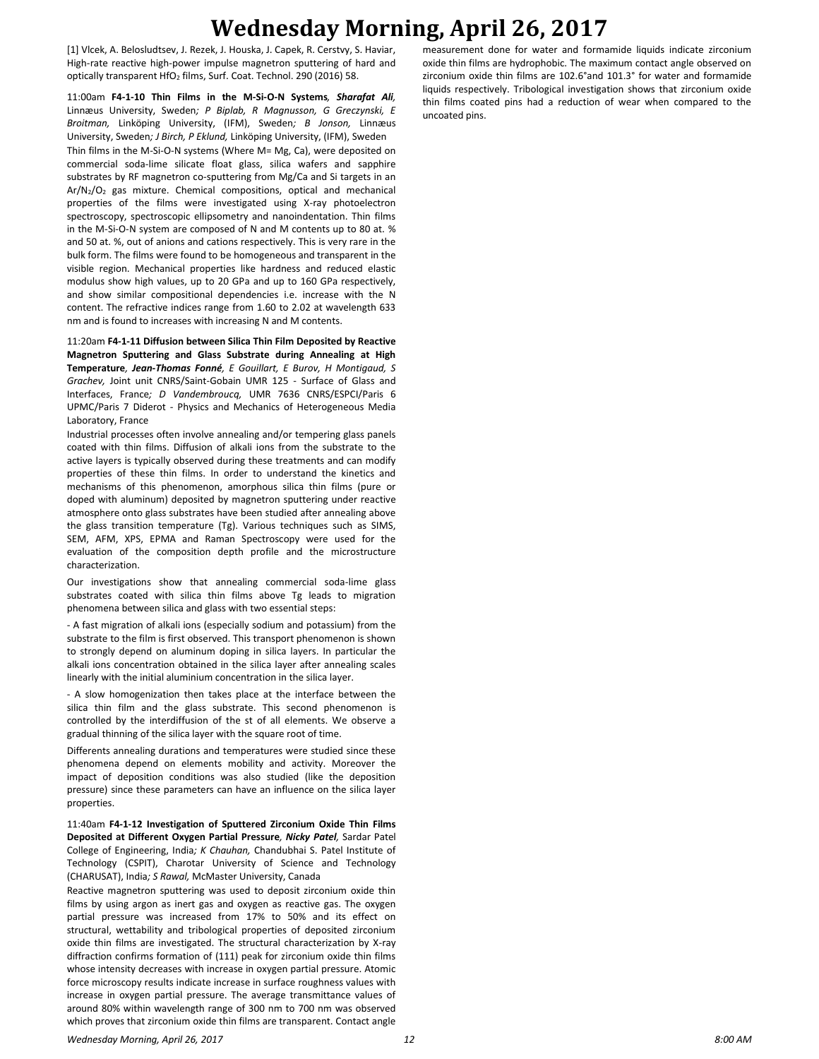# **Wednesday Morning, April 26, 2017**

[1] Vlcek, A. Belosludtsev, J. Rezek, J. Houska, J. Capek, R. Cerstvy, S. Haviar, High-rate reactive high-power impulse magnetron sputtering of hard and optically transparent HfO<sub>2</sub> films, Surf. Coat. Technol. 290 (2016) 58.

11:00am **F4-1-10 Thin Films in the M-Si-O-N Systems***, Sharafat Ali,*  Linnæus University, Sweden*; P Biplab, R Magnusson, G Greczynski, E Broitman,* Linköping University, (IFM), Sweden*; B Jonson,* Linnæus University, Sweden*; J Birch, P Eklund,* Linköping University, (IFM), Sweden Thin films in the M-Si-O-N systems (Where M= Mg, Ca), were deposited on commercial soda-lime silicate float glass, silica wafers and sapphire substrates by RF magnetron co-sputtering from Mg/Ca and Si targets in an Ar/N2/O<sup>2</sup> gas mixture. Chemical compositions, optical and mechanical properties of the films were investigated using X-ray photoelectron spectroscopy, spectroscopic ellipsometry and nanoindentation. Thin films in the M-Si-O-N system are composed of N and M contents up to 80 at. % and 50 at. %, out of anions and cations respectively. This is very rare in the bulk form. The films were found to be homogeneous and transparent in the visible region. Mechanical properties like hardness and reduced elastic modulus show high values, up to 20 GPa and up to 160 GPa respectively, and show similar compositional dependencies i.e. increase with the N content. The refractive indices range from 1.60 to 2.02 at wavelength 633 nm and is found to increases with increasing N and M contents.

11:20am **F4-1-11 Diffusion between Silica Thin Film Deposited by Reactive Magnetron Sputtering and Glass Substrate during Annealing at High Temperature***, Jean-Thomas Fonné, E Gouillart, E Burov, H Montigaud, S Grachev,* Joint unit CNRS/Saint-Gobain UMR 125 - Surface of Glass and Interfaces, France*; D Vandembroucq,* UMR 7636 CNRS/ESPCI/Paris 6 UPMC/Paris 7 Diderot - Physics and Mechanics of Heterogeneous Media Laboratory, France

Industrial processes often involve annealing and/or tempering glass panels coated with thin films. Diffusion of alkali ions from the substrate to the active layers is typically observed during these treatments and can modify properties of these thin films. In order to understand the kinetics and mechanisms of this phenomenon, amorphous silica thin films (pure or doped with aluminum) deposited by magnetron sputtering under reactive atmosphere onto glass substrates have been studied after annealing above the glass transition temperature (Tg). Various techniques such as SIMS, SEM, AFM, XPS, EPMA and Raman Spectroscopy were used for the evaluation of the composition depth profile and the microstructure characterization.

Our investigations show that annealing commercial soda-lime glass substrates coated with silica thin films above Tg leads to migration phenomena between silica and glass with two essential steps:

- A fast migration of alkali ions (especially sodium and potassium) from the substrate to the film is first observed. This transport phenomenon is shown to strongly depend on aluminum doping in silica layers. In particular the alkali ions concentration obtained in the silica layer after annealing scales linearly with the initial aluminium concentration in the silica layer.

- A slow homogenization then takes place at the interface between the silica thin film and the glass substrate. This second phenomenon is controlled by the interdiffusion of the st of all elements. We observe a gradual thinning of the silica layer with the square root of time.

Differents annealing durations and temperatures were studied since these phenomena depend on elements mobility and activity. Moreover the impact of deposition conditions was also studied (like the deposition pressure) since these parameters can have an influence on the silica layer properties.

11:40am **F4-1-12 Investigation of Sputtered Zirconium Oxide Thin Films Deposited at Different Oxygen Partial Pressure***, Nicky Patel,* Sardar Patel College of Engineering, India*; K Chauhan,* Chandubhai S. Patel Institute of Technology (CSPIT), Charotar University of Science and Technology (CHARUSAT), India*; S Rawal,* McMaster University, Canada

Reactive magnetron sputtering was used to deposit zirconium oxide thin films by using argon as inert gas and oxygen as reactive gas. The oxygen partial pressure was increased from 17% to 50% and its effect on structural, wettability and tribological properties of deposited zirconium oxide thin films are investigated. The structural characterization by X-ray diffraction confirms formation of (111) peak for zirconium oxide thin films whose intensity decreases with increase in oxygen partial pressure. Atomic force microscopy results indicate increase in surface roughness values with increase in oxygen partial pressure. The average transmittance values of around 80% within wavelength range of 300 nm to 700 nm was observed which proves that zirconium oxide thin films are transparent. Contact angle

measurement done for water and formamide liquids indicate zirconium oxide thin films are hydrophobic. The maximum contact angle observed on zirconium oxide thin films are 102.6°and 101.3° for water and formamide liquids respectively. Tribological investigation shows that zirconium oxide thin films coated pins had a reduction of wear when compared to the uncoated pins.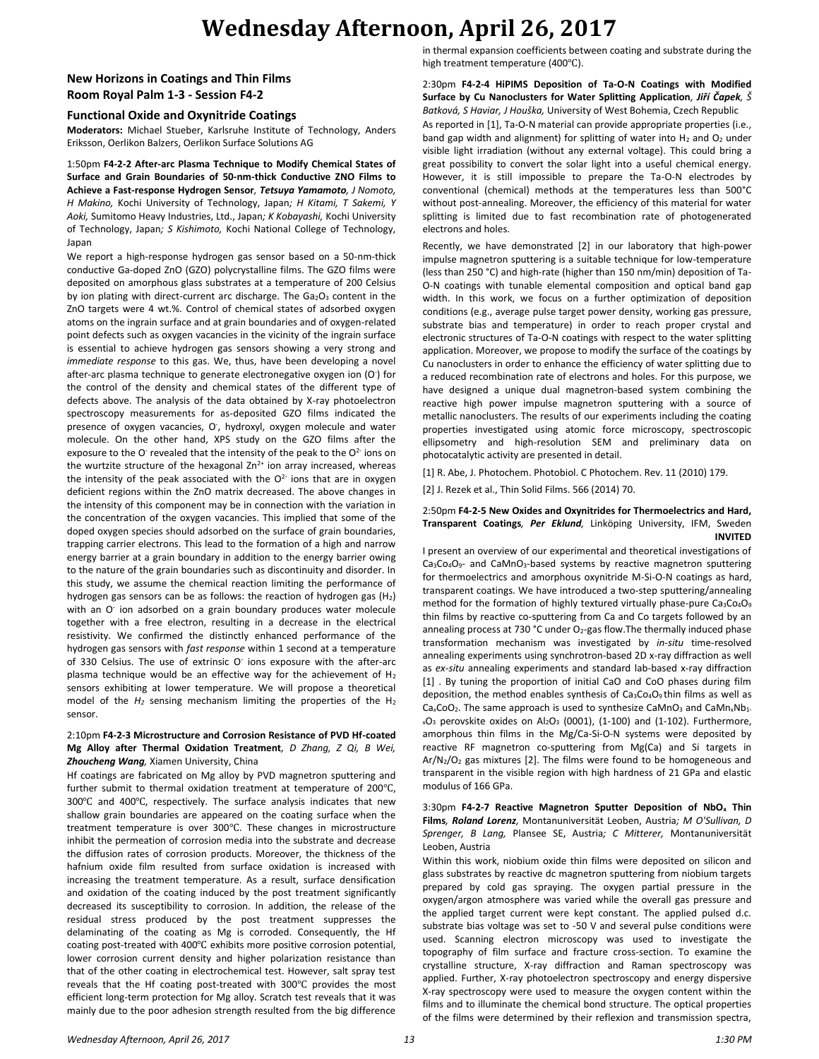# **Wednesday Afternoon, April 26, 2017**

## **New Horizons in Coatings and Thin Films Room Royal Palm 1-3 - Session F4-2**

### **Functional Oxide and Oxynitride Coatings**

**Moderators:** Michael Stueber, Karlsruhe Institute of Technology, Anders Eriksson, Oerlikon Balzers, Oerlikon Surface Solutions AG

1:50pm **F4-2-2 After-arc Plasma Technique to Modify Chemical States of Surface and Grain Boundaries of 50-nm-thick Conductive ZNO Films to Achieve a Fast-response Hydrogen Sensor***, Tetsuya Yamamoto, J Nomoto, H Makino,* Kochi University of Technology, Japan*; H Kitami, T Sakemi, Y Aoki,* Sumitomo Heavy Industries, Ltd., Japan*; K Kobayashi,* Kochi University of Technology, Japan*; S Kishimoto,* Kochi National College of Technology, Japan

We report a high-response hydrogen gas sensor based on a 50-nm-thick conductive Ga-doped ZnO (GZO) polycrystalline films. The GZO films were deposited on amorphous glass substrates at a temperature of 200 Celsius by ion plating with direct-current arc discharge. The  $Ga<sub>2</sub>O<sub>3</sub>$  content in the ZnO targets were 4 wt.%. Control of chemical states of adsorbed oxygen atoms on the ingrain surface and at grain boundaries and of oxygen-related point defects such as oxygen vacancies in the vicinity of the ingrain surface is essential to achieve hydrogen gas sensors showing a very strong and *immediate response* to this gas. We, thus, have been developing a novel after-arc plasma technique to generate electronegative oxygen ion (O<sup>-</sup>) for the control of the density and chemical states of the different type of defects above. The analysis of the data obtained by X-ray photoelectron spectroscopy measurements for as-deposited GZO films indicated the presence of oxygen vacancies, O, hydroxyl, oxygen molecule and water molecule. On the other hand, XPS study on the GZO films after the exposure to the O<sup>-</sup> revealed that the intensity of the peak to the  $O<sup>2-</sup>$  ions on the wurtzite structure of the hexagonal  $Zn^{2+}$  ion array increased, whereas the intensity of the peak associated with the  $O^{2-}$  ions that are in oxygen deficient regions within the ZnO matrix decreased. The above changes in the intensity of this component may be in connection with the variation in the concentration of the oxygen vacancies. This implied that some of the doped oxygen species should adsorbed on the surface of grain boundaries, trapping carrier electrons. This lead to the formation of a high and narrow energy barrier at a grain boundary in addition to the energy barrier owing to the nature of the grain boundaries such as discontinuity and disorder. In this study, we assume the chemical reaction limiting the performance of hydrogen gas sensors can be as follows: the reaction of hydrogen gas  $(H_2)$ with an O<sup>-</sup> ion adsorbed on a grain boundary produces water molecule together with a free electron, resulting in a decrease in the electrical resistivity. We confirmed the distinctly enhanced performance of the hydrogen gas sensors with *fast response* within 1 second at a temperature of 330 Celsius. The use of extrinsic O<sup>-</sup> ions exposure with the after-arc plasma technique would be an effective way for the achievement of  $H_2$ sensors exhibiting at lower temperature. We will propose a theoretical model of the *H<sup>2</sup>* sensing mechanism limiting the properties of the H<sup>2</sup> sensor.

### 2:10pm **F4-2-3 Microstructure and Corrosion Resistance of PVD Hf-coated Mg Alloy after Thermal Oxidation Treatment***, D Zhang, Z Qi, B Wei, Zhoucheng Wang,* Xiamen University, China

Hf coatings are fabricated on Mg alloy by PVD magnetron sputtering and further submit to thermal oxidation treatment at temperature of 200℃, 300℃ and 400℃, respectively. The surface analysis indicates that new shallow grain boundaries are appeared on the coating surface when the treatment temperature is over 300℃. These changes in microstructure inhibit the permeation of corrosion media into the substrate and decrease the diffusion rates of corrosion products. Moreover, the thickness of the hafnium oxide film resulted from surface oxidation is increased with increasing the treatment temperature. As a result, surface densification and oxidation of the coating induced by the post treatment significantly decreased its susceptibility to corrosion. In addition, the release of the residual stress produced by the post treatment suppresses the delaminating of the coating as Mg is corroded. Consequently, the Hf coating post-treated with 400℃ exhibits more positive corrosion potential, lower corrosion current density and higher polarization resistance than that of the other coating in electrochemical test. However, salt spray test reveals that the Hf coating post-treated with 300℃ provides the most efficient long-term protection for Mg alloy. Scratch test reveals that it was mainly due to the poor adhesion strength resulted from the big difference

in thermal expansion coefficients between coating and substrate during the high treatment temperature (400℃).

### 2:30pm **F4-2-4 HiPIMS Deposition of Ta-O-N Coatings with Modified Surface by Cu Nanoclusters for Water Splitting Application***, Jiří Čapek, Š Batková, S Haviar, J Houška,* University of West Bohemia, Czech Republic

As reported in [1], Ta-O-N material can provide appropriate properties (i.e., band gap width and alignment) for splitting of water into  $H_2$  and  $O_2$  under visible light irradiation (without any external voltage). This could bring a great possibility to convert the solar light into a useful chemical energy. However, it is still impossible to prepare the Ta-O-N electrodes by conventional (chemical) methods at the temperatures less than 500°C without post-annealing. Moreover, the efficiency of this material for water splitting is limited due to fast recombination rate of photogenerated electrons and holes.

Recently, we have demonstrated [2] in our laboratory that high-power impulse magnetron sputtering is a suitable technique for low-temperature (less than 250 °C) and high-rate (higher than 150 nm/min) deposition of Ta-O-N coatings with tunable elemental composition and optical band gap width. In this work, we focus on a further optimization of deposition conditions (e.g., average pulse target power density, working gas pressure, substrate bias and temperature) in order to reach proper crystal and electronic structures of Ta-O-N coatings with respect to the water splitting application. Moreover, we propose to modify the surface of the coatings by Cu nanoclusters in order to enhance the efficiency of water splitting due to a reduced recombination rate of electrons and holes. For this purpose, we have designed a unique dual magnetron-based system combining the reactive high power impulse magnetron sputtering with a source of metallic nanoclusters. The results of our experiments including the coating properties investigated using atomic force microscopy, spectroscopic ellipsometry and high-resolution SEM and preliminary data on photocatalytic activity are presented in detail.

[1] R. Abe, J. Photochem. Photobiol. C Photochem. Rev. 11 (2010) 179.

[2] J. Rezek et al., Thin Solid Films. 566 (2014) 70.

#### 2:50pm **F4-2-5 New Oxides and Oxynitrides for Thermoelectrics and Hard, Transparent Coatings***, Per Eklund,* Linköping University, IFM, Sweden **INVITED**

I present an overview of our experimental and theoretical investigations of Ca<sub>3</sub>Co<sub>4</sub>O<sub>9</sub>- and CaMnO<sub>3</sub>-based systems by reactive magnetron sputtering for thermoelectrics and amorphous oxynitride M-Si-O-N coatings as hard, transparent coatings. We have introduced a two-step sputtering/annealing method for the formation of highly textured virtually phase-pure Ca<sub>3</sub>Co<sub>4</sub>O<sub>9</sub> thin films by reactive co-sputtering from Ca and Co targets followed by an annealing process at 730 °C under  $O<sub>2</sub>$ -gas flow. The thermally induced phase transformation mechanism was investigated by *in-situ* time-resolved annealing experiments using synchrotron-based 2D x-ray diffraction as well as *ex-situ* annealing experiments and standard lab-based x-ray diffraction [1] . By tuning the proportion of initial CaO and CoO phases during film deposition, the method enables synthesis of  $Ca<sub>3</sub>Co<sub>4</sub>O<sub>9</sub>$  thin films as well as Ca<sub>x</sub>CoO<sub>2</sub>. The same approach is used to synthesize CaMnO<sub>3</sub> and CaMn<sub>x</sub>Nb<sub>1</sub>.  $_{x}O_{3}$  perovskite oxides on Al<sub>2</sub>O<sub>3</sub> (0001), (1-100) and (1-102). Furthermore, amorphous thin films in the Mg/Ca-Si-O-N systems were deposited by reactive RF magnetron co-sputtering from Mg(Ca) and Si targets in  $Ar/N<sub>2</sub>/O<sub>2</sub>$  gas mixtures [2]. The films were found to be homogeneous and transparent in the visible region with high hardness of 21 GPa and elastic modulus of 166 GPa.

### 3:30pm **F4-2-7 Reactive Magnetron Sputter Deposition of NbO<sup>x</sup> Thin Films***, Roland Lorenz,* Montanuniversität Leoben, Austria*; M O'Sullivan, D Sprenger, B Lang,* Plansee SE, Austria*; C Mitterer,* Montanuniversität Leoben, Austria

Within this work, niobium oxide thin films were deposited on silicon and glass substrates by reactive dc magnetron sputtering from niobium targets prepared by cold gas spraying. The oxygen partial pressure in the oxygen/argon atmosphere was varied while the overall gas pressure and the applied target current were kept constant. The applied pulsed d.c. substrate bias voltage was set to -50 V and several pulse conditions were used. Scanning electron microscopy was used to investigate the topography of film surface and fracture cross-section. To examine the crystalline structure, X-ray diffraction and Raman spectroscopy was applied. Further, X-ray photoelectron spectroscopy and energy dispersive X-ray spectroscopy were used to measure the oxygen content within the films and to illuminate the chemical bond structure. The optical properties of the films were determined by their reflexion and transmission spectra,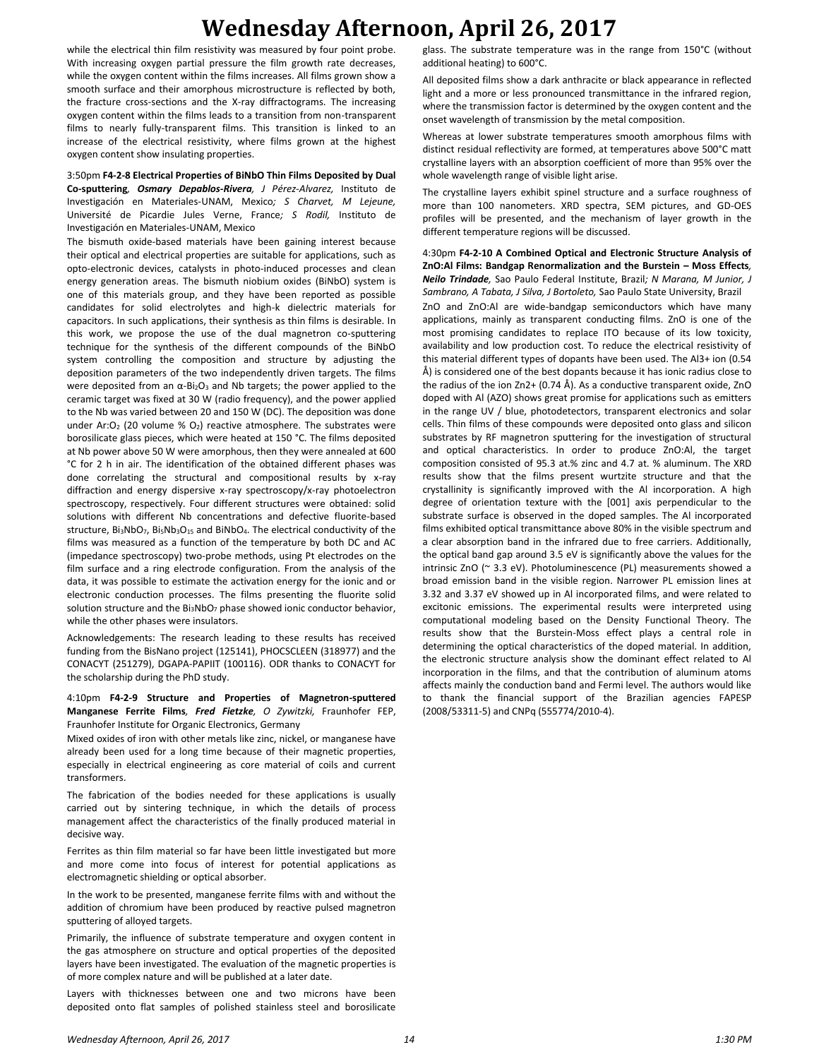# **Wednesday Afternoon, April 26, 2017**

while the electrical thin film resistivity was measured by four point probe. With increasing oxygen partial pressure the film growth rate decreases, while the oxygen content within the films increases. All films grown show a smooth surface and their amorphous microstructure is reflected by both, the fracture cross-sections and the X-ray diffractograms. The increasing oxygen content within the films leads to a transition from non-transparent films to nearly fully-transparent films. This transition is linked to an increase of the electrical resistivity, where films grown at the highest oxygen content show insulating properties.

3:50pm **F4-2-8 Electrical Properties of BiNbO Thin Films Deposited by Dual Co-sputtering***, Osmary Depablos-Rivera, J Pérez-Alvarez,* Instituto de Investigación en Materiales-UNAM, Mexico*; S Charvet, M Lejeune,*  Université de Picardie Jules Verne, France*; S Rodil,* Instituto de Investigación en Materiales-UNAM, Mexico

The bismuth oxide-based materials have been gaining interest because their optical and electrical properties are suitable for applications, such as opto-electronic devices, catalysts in photo-induced processes and clean energy generation areas. The bismuth niobium oxides (BiNbO) system is one of this materials group, and they have been reported as possible candidates for solid electrolytes and high-k dielectric materials for capacitors. In such applications, their synthesis as thin films is desirable. In this work, we propose the use of the dual magnetron co-sputtering technique for the synthesis of the different compounds of the BiNbO system controlling the composition and structure by adjusting the deposition parameters of the two independently driven targets. The films were deposited from an  $\alpha$ -Bi<sub>2</sub>O<sub>3</sub> and Nb targets; the power applied to the ceramic target was fixed at 30 W (radio frequency), and the power applied to the Nb was varied between 20 and 150 W (DC). The deposition was done under Ar: $O_2$  (20 volume %  $O_2$ ) reactive atmosphere. The substrates were borosilicate glass pieces, which were heated at 150 °C. The films deposited at Nb power above 50 W were amorphous, then they were annealed at 600 °C for 2 h in air. The identification of the obtained different phases was done correlating the structural and compositional results by x-ray diffraction and energy dispersive x-ray spectroscopy/x-ray photoelectron spectroscopy, respectively. Four different structures were obtained: solid solutions with different Nb concentrations and defective fluorite-based structure, Bi<sub>3</sub>NbO<sub>7</sub>, Bi<sub>5</sub>Nb<sub>3</sub>O<sub>15</sub> and BiNbO<sub>4</sub>. The electrical conductivity of the films was measured as a function of the temperature by both DC and AC (impedance spectroscopy) two-probe methods, using Pt electrodes on the film surface and a ring electrode configuration. From the analysis of the data, it was possible to estimate the activation energy for the ionic and or electronic conduction processes. The films presenting the fluorite solid solution structure and the  $Bi_3NbO_7$  phase showed ionic conductor behavior, while the other phases were insulators.

Acknowledgements: The research leading to these results has received funding from the BisNano project (125141), PHOCSCLEEN (318977) and the CONACYT (251279), DGAPA-PAPIIT (100116). ODR thanks to CONACYT for the scholarship during the PhD study.

4:10pm **F4-2-9 Structure and Properties of Magnetron-sputtered Manganese Ferrite Films***, Fred Fietzke, O Zywitzki,* Fraunhofer FEP, Fraunhofer Institute for Organic Electronics, Germany

Mixed oxides of iron with other metals like zinc, nickel, or manganese have already been used for a long time because of their magnetic properties, especially in electrical engineering as core material of coils and current transformers.

The fabrication of the bodies needed for these applications is usually carried out by sintering technique, in which the details of process management affect the characteristics of the finally produced material in decisive way.

Ferrites as thin film material so far have been little investigated but more and more come into focus of interest for potential applications as electromagnetic shielding or optical absorber.

In the work to be presented, manganese ferrite films with and without the addition of chromium have been produced by reactive pulsed magnetron sputtering of alloyed targets.

Primarily, the influence of substrate temperature and oxygen content in the gas atmosphere on structure and optical properties of the deposited layers have been investigated. The evaluation of the magnetic properties is of more complex nature and will be published at a later date.

Layers with thicknesses between one and two microns have been deposited onto flat samples of polished stainless steel and borosilicate

glass. The substrate temperature was in the range from 150°C (without additional heating) to 600°C.

All deposited films show a dark anthracite or black appearance in reflected light and a more or less pronounced transmittance in the infrared region, where the transmission factor is determined by the oxygen content and the onset wavelength of transmission by the metal composition.

Whereas at lower substrate temperatures smooth amorphous films with distinct residual reflectivity are formed, at temperatures above 500°C matt crystalline layers with an absorption coefficient of more than 95% over the whole wavelength range of visible light arise.

The crystalline layers exhibit spinel structure and a surface roughness of more than 100 nanometers. XRD spectra, SEM pictures, and GD-OES profiles will be presented, and the mechanism of layer growth in the different temperature regions will be discussed.

4:30pm **F4-2-10 A Combined Optical and Electronic Structure Analysis of ZnO:Al Films: Bandgap Renormalization and the Burstein – Moss Effects***, Neilo Trindade,* Sao Paulo Federal Institute, Brazil*; N Marana, M Junior, J Sambrano, A Tabata, J Silva, J Bortoleto,* Sao Paulo State University, Brazil

ZnO and ZnO:Al are wide-bandgap semiconductors which have many applications, mainly as transparent conducting films. ZnO is one of the most promising candidates to replace ITO because of its low toxicity, availability and low production cost. To reduce the electrical resistivity of this material different types of dopants have been used. The Al3+ ion (0.54 Å) is considered one of the best dopants because it has ionic radius close to the radius of the ion Zn2+ (0.74 Å). As a conductive transparent oxide, ZnO doped with Al (AZO) shows great promise for applications such as emitters in the range UV / blue, photodetectors, transparent electronics and solar cells. Thin films of these compounds were deposited onto glass and silicon substrates by RF magnetron sputtering for the investigation of structural and optical characteristics. In order to produce ZnO:Al, the target composition consisted of 95.3 at.% zinc and 4.7 at. % aluminum. The XRD results show that the films present wurtzite structure and that the crystallinity is significantly improved with the Al incorporation. A high degree of orientation texture with the [001] axis perpendicular to the substrate surface is observed in the doped samples. The Al incorporated films exhibited optical transmittance above 80% in the visible spectrum and a clear absorption band in the infrared due to free carriers. Additionally, the optical band gap around 3.5 eV is significantly above the values for the intrinsic ZnO (~ 3.3 eV). Photoluminescence (PL) measurements showed a broad emission band in the visible region. Narrower PL emission lines at 3.32 and 3.37 eV showed up in Al incorporated films, and were related to excitonic emissions. The experimental results were interpreted using computational modeling based on the Density Functional Theory. The results show that the Burstein-Moss effect plays a central role in determining the optical characteristics of the doped material. In addition, the electronic structure analysis show the dominant effect related to Al incorporation in the films, and that the contribution of aluminum atoms affects mainly the conduction band and Fermi level. The authors would like to thank the financial support of the Brazilian agencies FAPESP (2008/53311-5) and CNPq (555774/2010-4).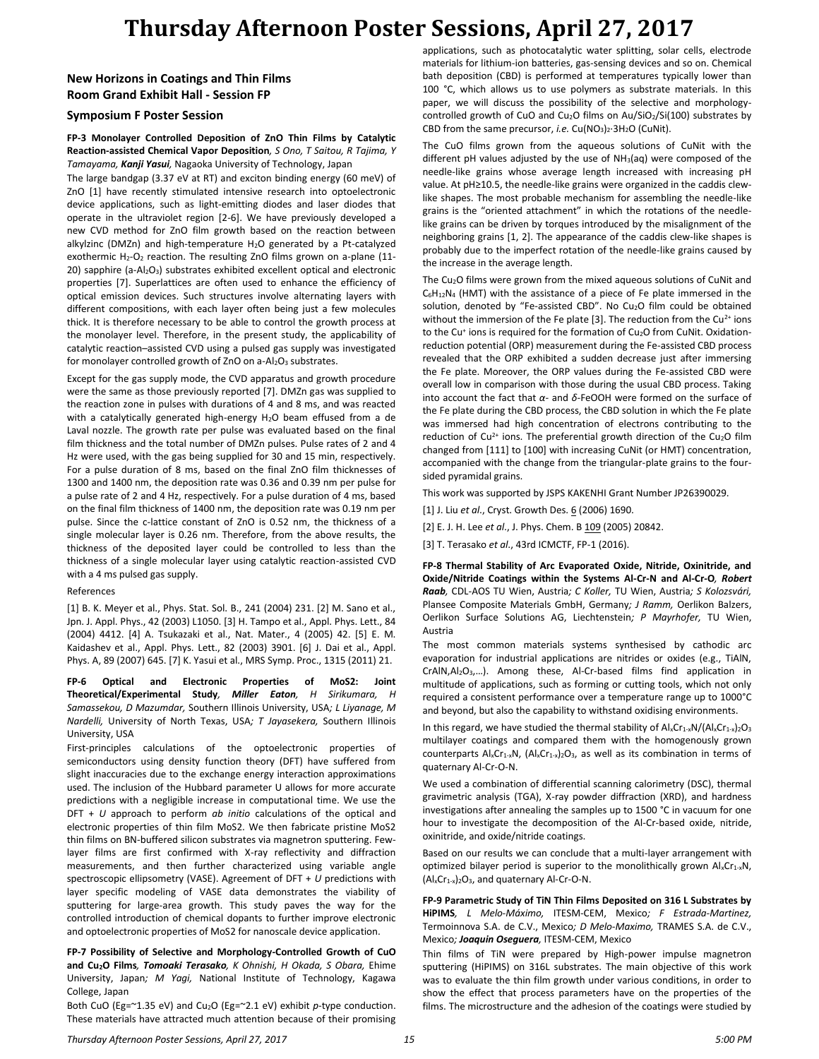# **Thursday Afternoon Poster Sessions, April 27, 2017**

## **New Horizons in Coatings and Thin Films Room Grand Exhibit Hall - Session FP**

### **Symposium F Poster Session**

#### **FP-3 Monolayer Controlled Deposition of ZnO Thin Films by Catalytic Reaction-assisted Chemical Vapor Deposition***, S Ono, T Saitou, R Tajima, Y Tamayama, Kanji Yasui,* Nagaoka University of Technology, Japan

The large bandgap (3.37 eV at RT) and exciton binding energy (60 meV) of ZnO [1] have recently stimulated intensive research into optoelectronic device applications, such as light-emitting diodes and laser diodes that operate in the ultraviolet region [2-6]. We have previously developed a new CVD method for ZnO film growth based on the reaction between alkylzinc (DMZn) and high-temperature H<sub>2</sub>O generated by a Pt-catalyzed exothermic H<sub>2</sub>-O<sub>2</sub> reaction. The resulting ZnO films grown on a-plane (11-20) sapphire (a-Al<sub>2</sub>O<sub>3</sub>) substrates exhibited excellent optical and electronic properties [7]. Superlattices are often used to enhance the efficiency of optical emission devices. Such structures involve alternating layers with different compositions, with each layer often being just a few molecules thick. It is therefore necessary to be able to control the growth process at the monolayer level. Therefore, in the present study, the applicability of catalytic reaction–assisted CVD using a pulsed gas supply was investigated for monolayer controlled growth of ZnO on  $a-Al<sub>2</sub>O<sub>3</sub>$  substrates.

Except for the gas supply mode, the CVD apparatus and growth procedure were the same as those previously reported [7]. DMZn gas was supplied to the reaction zone in pulses with durations of 4 and 8 ms, and was reacted with a catalytically generated high-energy H<sub>2</sub>O beam effused from a de Laval nozzle. The growth rate per pulse was evaluated based on the final film thickness and the total number of DMZn pulses. Pulse rates of 2 and 4 Hz were used, with the gas being supplied for 30 and 15 min, respectively. For a pulse duration of 8 ms, based on the final ZnO film thicknesses of 1300 and 1400 nm, the deposition rate was 0.36 and 0.39 nm per pulse for a pulse rate of 2 and 4 Hz, respectively. For a pulse duration of 4 ms, based on the final film thickness of 1400 nm, the deposition rate was 0.19 nm per pulse. Since the c-lattice constant of ZnO is 0.52 nm, the thickness of a single molecular layer is 0.26 nm. Therefore, from the above results, the thickness of the deposited layer could be controlled to less than the thickness of a single molecular layer using catalytic reaction-assisted CVD with a 4 ms pulsed gas supply.

#### References

[1] B. K. Meyer et al., Phys. Stat. Sol. B., 241 (2004) 231. [2] M. Sano et al., Jpn. J. Appl. Phys., 42 (2003) L1050. [3] H. Tampo et al., Appl. Phys. Lett., 84 (2004) 4412. [4] A. Tsukazaki et al., Nat. Mater., 4 (2005) 42. [5] E. M. Kaidashev et al., Appl. Phys. Lett., 82 (2003) 3901. [6] J. Dai et al., Appl. Phys. A, 89 (2007) 645. [7] K. Yasui et al., MRS Symp. Proc., 1315 (2011) 21.

**FP-6 Optical and Electronic Properties of MoS2: Joint Theoretical/Experimental Study***, Miller Eaton, H Sirikumara, H Samassekou, D Mazumdar,* Southern Illinois University, USA*; L Liyanage, M Nardelli,* University of North Texas, USA*; T Jayasekera,* Southern Illinois University, USA

First-principles calculations of the optoelectronic properties of semiconductors using density function theory (DFT) have suffered from slight inaccuracies due to the exchange energy interaction approximations used. The inclusion of the Hubbard parameter U allows for more accurate predictions with a negligible increase in computational time. We use the DFT + *U* approach to perform *ab initio* calculations of the optical and electronic properties of thin film MoS2. We then fabricate pristine MoS2 thin films on BN-buffered silicon substrates via magnetron sputtering. Fewlayer films are first confirmed with X-ray reflectivity and diffraction measurements, and then further characterized using variable angle spectroscopic ellipsometry (VASE). Agreement of DFT + *U* predictions with layer specific modeling of VASE data demonstrates the viability of sputtering for large-area growth. This study paves the way for the controlled introduction of chemical dopants to further improve electronic and optoelectronic properties of MoS2 for nanoscale device application.

**FP-7 Possibility of Selective and Morphology-Controlled Growth of CuO and Cu2O Films***, Tomoaki Terasako, K Ohnishi, H Okada, S Obara,* Ehime University, Japan*; M Yagi,* National Institute of Technology, Kagawa College, Japan

Both CuO (Eg=~1.35 eV) and Cu2O (Eg=~2.1 eV) exhibit *p*-type conduction. These materials have attracted much attention because of their promising applications, such as photocatalytic water splitting, solar cells, electrode materials for lithium-ion batteries, gas-sensing devices and so on. Chemical bath deposition (CBD) is performed at temperatures typically lower than 100 °C, which allows us to use polymers as substrate materials. In this paper, we will discuss the possibility of the selective and morphologycontrolled growth of CuO and Cu<sub>2</sub>O films on Au/SiO<sub>2</sub>/Si(100) substrates by CBD from the same precursor, *i.e.* Cu(NO<sub>3</sub>)<sub>2</sub>·3H<sub>2</sub>O (CuNit).

The CuO films grown from the aqueous solutions of CuNit with the different pH values adjusted by the use of  $NH<sub>3</sub>(aq)$  were composed of the needle-like grains whose average length increased with increasing pH value. At pH≥10.5, the needle-like grains were organized in the caddis clewlike shapes. The most probable mechanism for assembling the needle-like grains is the "oriented attachment" in which the rotations of the needlelike grains can be driven by torques introduced by the misalignment of the neighboring grains [1, 2]. The appearance of the caddis clew-like shapes is probably due to the imperfect rotation of the needle-like grains caused by the increase in the average length.

The Cu2O films were grown from the mixed aqueous solutions of CuNit and  $C_6H_{12}N_4$  (HMT) with the assistance of a piece of Fe plate immersed in the solution, denoted by "Fe-assisted CBD". No Cu<sub>2</sub>O film could be obtained without the immersion of the Fe plate [3]. The reduction from the  $Cu<sup>2+</sup>$  ions to the Cu<sup>+</sup> ions is required for the formation of Cu<sub>2</sub>O from CuNit. Oxidationreduction potential (ORP) measurement during the Fe-assisted CBD process revealed that the ORP exhibited a sudden decrease just after immersing the Fe plate. Moreover, the ORP values during the Fe-assisted CBD were overall low in comparison with those during the usual CBD process. Taking into account the fact that *α*- and *δ*-FeOOH were formed on the surface of the Fe plate during the CBD process, the CBD solution in which the Fe plate was immersed had high concentration of electrons contributing to the reduction of  $Cu^{2+}$  ions. The preferential growth direction of the Cu<sub>2</sub>O film changed from [111] to [100] with increasing CuNit (or HMT) concentration, accompanied with the change from the triangular-plate grains to the foursided pyramidal grains.

This work was supported by JSPS KAKENHI Grant Number JP26390029.

- [1] J. Liu et al., Cryst. Growth Des. 6 (2006) 1690.
- [2] E. J. H. Lee *et al*., J. Phys. Chem. B 109 (2005) 20842.
- [3] T. Terasako *et al*., 43rd ICMCTF, FP-1 (2016).

**FP-8 Thermal Stability of Arc Evaporated Oxide, Nitride, Oxinitride, and Oxide/Nitride Coatings within the Systems Al-Cr-N and Al-Cr-O***, Robert Raab,* CDL-AOS TU Wien, Austria*; C Koller,* TU Wien, Austria*; S Kolozsvári,*  Plansee Composite Materials GmbH, Germany*; J Ramm,* Oerlikon Balzers, Oerlikon Surface Solutions AG, Liechtenstein*; P Mayrhofer,* TU Wien, Austria

The most common materials systems synthesised by cathodic arc evaporation for industrial applications are nitrides or oxides (e.g., TiAlN, CrAlN,Al2O3,…). Among these, Al-Cr-based films find application in multitude of applications, such as forming or cutting tools, which not only required a consistent performance over a temperature range up to 1000°C and beyond, but also the capability to withstand oxidising environments.

In this regard, we have studied the thermal stability of  $\frac{A}{C}C_1-XN/(A1*Cr_1-X)2O_3$ multilayer coatings and compared them with the homogenously grown counterparts  $\mathsf{Al}_x\mathsf{Cr}_{1-x}\mathsf{N}$ ,  $\mathsf{(Al}_x\mathsf{Cr}_{1-x}\mathsf{)}_2\mathsf{O}_3$ , as well as its combination in terms of quaternary Al-Cr-O-N.

We used a combination of differential scanning calorimetry (DSC), thermal gravimetric analysis (TGA), X-ray powder diffraction (XRD), and hardness investigations after annealing the samples up to 1500 °C in vacuum for one hour to investigate the decomposition of the Al-Cr-based oxide, nitride, oxinitride, and oxide/nitride coatings.

Based on our results we can conclude that a multi-layer arrangement with optimized bilayer period is superior to the monolithically grown  $\mathsf{Al}_x\mathsf{Cr}_{1-x}\mathsf{N}$ ,  $(A|_{x}Cr_{1-x})_{2}O_{3}$ , and quaternary Al-Cr-O-N.

**FP-9 Parametric Study of TiN Thin Films Deposited on 316 L Substrates by HiPIMS***, L Melo-Máximo,* ITESM-CEM, Mexico*; F Estrada-Martinez,*  Termoinnova S.A. de C.V., Mexico*; D Melo-Maximo,* TRAMES S.A. de C.V., Mexico*; Joaquin Oseguera,* ITESM-CEM, Mexico

Thin films of TiN were prepared by High-power impulse magnetron sputtering (HiPIMS) on 316L substrates. The main objective of this work was to evaluate the thin film growth under various conditions, in order to show the effect that process parameters have on the properties of the films. The microstructure and the adhesion of the coatings were studied by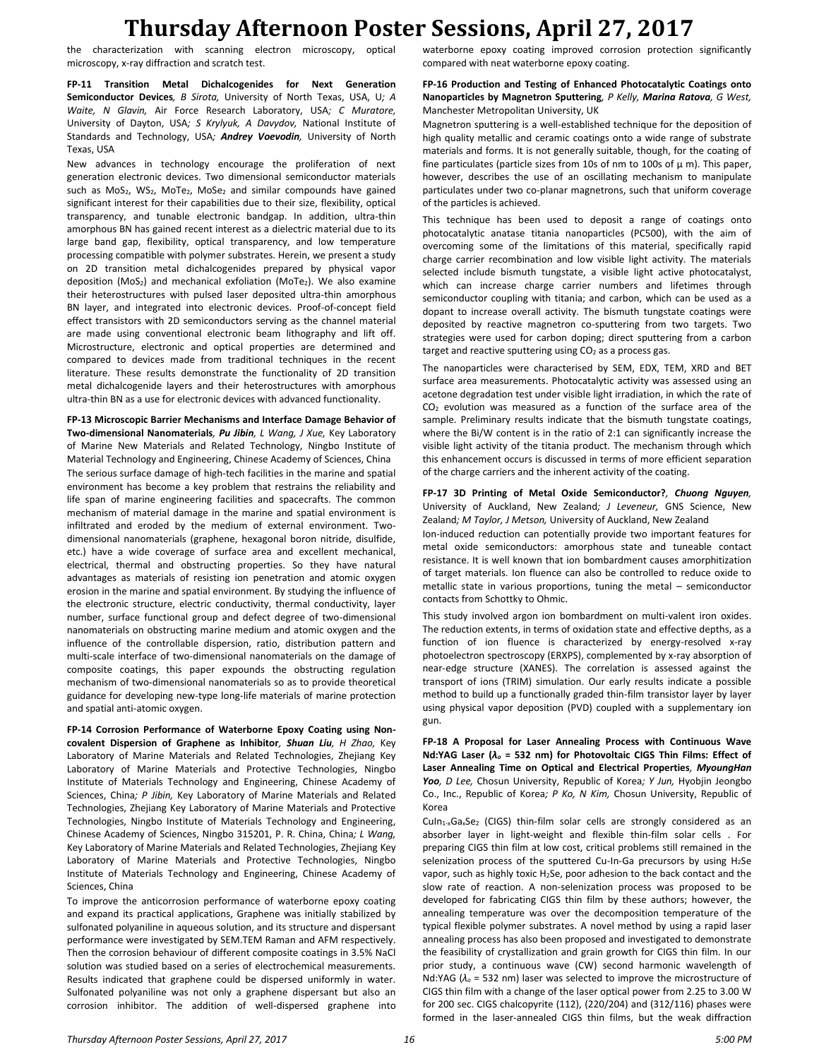## **Thursday Afternoon Poster Sessions, April 27, 2017**

the characterization with scanning electron microscopy, optical microscopy, x-ray diffraction and scratch test.

**FP-11 Transition Metal Dichalcogenides for Next Generation Semiconductor Devices***, B Sirota,* University of North Texas, USA, U*; A Waite, N Glavin,* Air Force Research Laboratory, USA*; C Muratore,*  University of Dayton, USA*; S Krylyuk, A Davydov,* National Institute of Standards and Technology, USA*; Andrey Voevodin,* University of North Texas, USA

New advances in technology encourage the proliferation of next generation electronic devices. Two dimensional semiconductor materials such as MoS<sub>2</sub>, WS<sub>2</sub>, MoTe<sub>2</sub>, MoSe<sub>2</sub> and similar compounds have gained significant interest for their capabilities due to their size, flexibility, optical transparency, and tunable electronic bandgap. In addition, ultra-thin amorphous BN has gained recent interest as a dielectric material due to its large band gap, flexibility, optical transparency, and low temperature processing compatible with polymer substrates. Herein, we present a study on 2D transition metal dichalcogenides prepared by physical vapor deposition ( $MoS<sub>2</sub>$ ) and mechanical exfoliation ( $MoTe<sub>2</sub>$ ). We also examine their heterostructures with pulsed laser deposited ultra-thin amorphous BN layer, and integrated into electronic devices. Proof-of-concept field effect transistors with 2D semiconductors serving as the channel material are made using conventional electronic beam lithography and lift off. Microstructure, electronic and optical properties are determined and compared to devices made from traditional techniques in the recent literature. These results demonstrate the functionality of 2D transition metal dichalcogenide layers and their heterostructures with amorphous ultra-thin BN as a use for electronic devices with advanced functionality.

**FP-13 Microscopic Barrier Mechanisms and Interface Damage Behavior of Two-dimensional Nanomaterials***, Pu Jibin, L Wang, J Xue,* Key Laboratory of Marine New Materials and Related Technology, Ningbo Institute of Material Technology and Engineering, Chinese Academy of Sciences, China The serious surface damage of high-tech facilities in the marine and spatial environment has become a key problem that restrains the reliability and life span of marine engineering facilities and spacecrafts. The common mechanism of material damage in the marine and spatial environment is infiltrated and eroded by the medium of external environment. Twodimensional nanomaterials (graphene, hexagonal boron nitride, disulfide, etc.) have a wide coverage of surface area and excellent mechanical, electrical, thermal and obstructing properties. So they have natural advantages as materials of resisting ion penetration and atomic oxygen erosion in the marine and spatial environment. By studying the influence of the electronic structure, electric conductivity, thermal conductivity, layer number, surface functional group and defect degree of two-dimensional nanomaterials on obstructing marine medium and atomic oxygen and the influence of the controllable dispersion, ratio, distribution pattern and multi-scale interface of two-dimensional nanomaterials on the damage of composite coatings, this paper expounds the obstructing regulation mechanism of two-dimensional nanomaterials so as to provide theoretical guidance for developing new-type long-life materials of marine protection and spatial anti-atomic oxygen.

**FP-14 Corrosion Performance of Waterborne Epoxy Coating using Noncovalent Dispersion of Graphene as Inhibitor***, Shuan Liu, H Zhao,* Key Laboratory of Marine Materials and Related Technologies, Zhejiang Key Laboratory of Marine Materials and Protective Technologies, Ningbo Institute of Materials Technology and Engineering, Chinese Academy of Sciences, China*; P Jibin,* Key Laboratory of Marine Materials and Related Technologies, Zhejiang Key Laboratory of Marine Materials and Protective Technologies, Ningbo Institute of Materials Technology and Engineering, Chinese Academy of Sciences, Ningbo 315201, P. R. China, China*; L Wang,*  Key Laboratory of Marine Materials and Related Technologies, Zhejiang Key Laboratory of Marine Materials and Protective Technologies, Ningbo Institute of Materials Technology and Engineering, Chinese Academy of Sciences, China

To improve the anticorrosion performance of waterborne epoxy coating and expand its practical applications, Graphene was initially stabilized by sulfonated polyaniline in aqueous solution, and its structure and dispersant performance were investigated by SEM.TEM Raman and AFM respectively. Then the corrosion behaviour of different composite coatings in 3.5% NaCl solution was studied based on a series of electrochemical measurements. Results indicated that graphene could be dispersed uniformly in water. Sulfonated polyaniline was not only a graphene dispersant but also an corrosion inhibitor. The addition of well-dispersed graphene into waterborne epoxy coating improved corrosion protection significantly compared with neat waterborne epoxy coating.

#### **FP-16 Production and Testing of Enhanced Photocatalytic Coatings onto Nanoparticles by Magnetron Sputtering***, P Kelly, Marina Ratova, G West,*  Manchester Metropolitan University, UK

Magnetron sputtering is a well-established technique for the deposition of high quality metallic and ceramic coatings onto a wide range of substrate materials and forms. It is not generally suitable, though, for the coating of fine particulates (particle sizes from 10s of nm to 100s of  $\mu$  m). This paper, however, describes the use of an oscillating mechanism to manipulate particulates under two co-planar magnetrons, such that uniform coverage of the particles is achieved.

This technique has been used to deposit a range of coatings onto photocatalytic anatase titania nanoparticles (PC500), with the aim of overcoming some of the limitations of this material, specifically rapid charge carrier recombination and low visible light activity. The materials selected include bismuth tungstate, a visible light active photocatalyst, which can increase charge carrier numbers and lifetimes through semiconductor coupling with titania; and carbon, which can be used as a dopant to increase overall activity. The bismuth tungstate coatings were deposited by reactive magnetron co-sputtering from two targets. Two strategies were used for carbon doping; direct sputtering from a carbon target and reactive sputtering using  $CO<sub>2</sub>$  as a process gas.

The nanoparticles were characterised by SEM, EDX, TEM, XRD and BET surface area measurements. Photocatalytic activity was assessed using an acetone degradation test under visible light irradiation, in which the rate of CO<sup>2</sup> evolution was measured as a function of the surface area of the sample. Preliminary results indicate that the bismuth tungstate coatings, where the Bi/W content is in the ratio of 2:1 can significantly increase the visible light activity of the titania product. The mechanism through which this enhancement occurs is discussed in terms of more efficient separation of the charge carriers and the inherent activity of the coating.

#### **FP-17 3D Printing of Metal Oxide Semiconductor?***, Chuong Nguyen,*  University of Auckland, New Zealand*; J Leveneur,* GNS Science, New Zealand*; M Taylor, J Metson,* University of Auckland, New Zealand

Ion-induced reduction can potentially provide two important features for metal oxide semiconductors: amorphous state and tuneable contact resistance. It is well known that ion bombardment causes amorphitization of target materials. Ion fluence can also be controlled to reduce oxide to metallic state in various proportions, tuning the metal – semiconductor contacts from Schottky to Ohmic.

This study involved argon ion bombardment on multi-valent iron oxides. The reduction extents, in terms of oxidation state and effective depths, as a function of ion fluence is characterized by energy-resolved x-ray photoelectron spectroscopy (ERXPS), complemented by x-ray absorption of near-edge structure (XANES). The correlation is assessed against the transport of ions (TRIM) simulation. Our early results indicate a possible method to build up a functionally graded thin-film transistor layer by layer using physical vapor deposition (PVD) coupled with a supplementary ion gun.

**FP-18 A Proposal for Laser Annealing Process with Continuous Wave Nd:YAG Laser (***λ<sup>o</sup>* **= 532 nm) for Photovoltaic CIGS Thin Films: Effect of Laser Annealing Time on Optical and Electrical Properties***, MyoungHan Yoo, D Lee,* Chosun University, Republic of Korea*; Y Jun,* Hyobjin Jeongbo Co., Inc., Republic of Korea*; P Ko, N Kim,* Chosun University, Republic of Korea

 $Culn<sub>1-x</sub>Ga<sub>x</sub>Se<sub>2</sub>$  (CIGS) thin-film solar cells are strongly considered as an absorber layer in light-weight and flexible thin-film solar cells . For preparing CIGS thin film at low cost, critical problems still remained in the selenization process of the sputtered Cu-In-Ga precursors by using  $H_2$ Se vapor, such as highly toxic H2Se, poor adhesion to the back contact and the slow rate of reaction. A non-selenization process was proposed to be developed for fabricating CIGS thin film by these authors; however, the annealing temperature was over the decomposition temperature of the typical flexible polymer substrates. A novel method by using a rapid laser annealing process has also been proposed and investigated to demonstrate the feasibility of crystallization and grain growth for CIGS thin film. In our prior study, a continuous wave (CW) second harmonic wavelength of Nd:YAG (*λ<sup>o</sup>* = 532 nm) laser was selected to improve the microstructure of CIGS thin film with a change of the laser optical power from 2.25 to 3.00 W for 200 sec. CIGS chalcopyrite (112), (220/204) and (312/116) phases were formed in the laser-annealed CIGS thin films, but the weak diffraction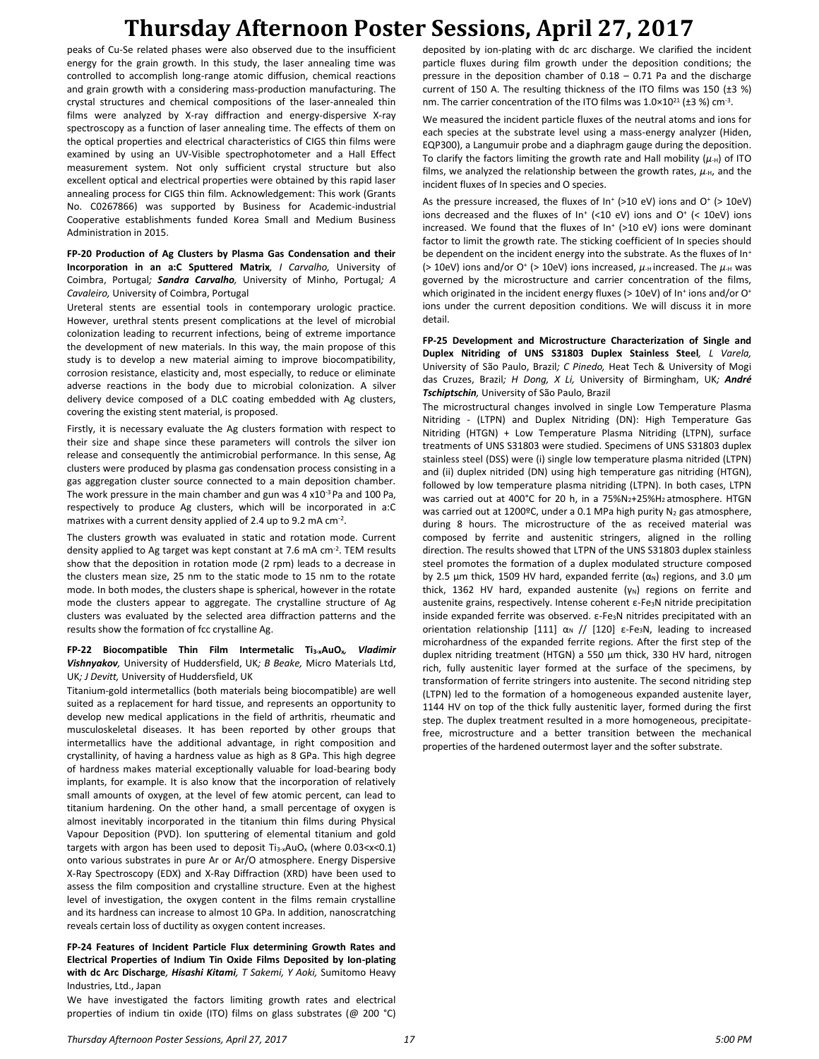# **Thursday Afternoon Poster Sessions, April 27, 2017**

peaks of Cu-Se related phases were also observed due to the insufficient energy for the grain growth. In this study, the laser annealing time was controlled to accomplish long-range atomic diffusion, chemical reactions and grain growth with a considering mass-production manufacturing. The crystal structures and chemical compositions of the laser-annealed thin films were analyzed by X-ray diffraction and energy-dispersive X-ray spectroscopy as a function of laser annealing time. The effects of them on the optical properties and electrical characteristics of CIGS thin films were examined by using an UV-Visible spectrophotometer and a Hall Effect measurement system. Not only sufficient crystal structure but also excellent optical and electrical properties were obtained by this rapid laser annealing process for CIGS thin film. Acknowledgement: This work (Grants No. C0267866) was supported by Business for Academic-industrial Cooperative establishments funded Korea Small and Medium Business Administration in 2015.

**FP-20 Production of Ag Clusters by Plasma Gas Condensation and their Incorporation in an a:C Sputtered Matrix***, I Carvalho,* University of Coimbra, Portugal*; Sandra Carvalho,* University of Minho, Portugal*; A Cavaleiro,* University of Coimbra, Portugal

Ureteral stents are essential tools in contemporary urologic practice. However, urethral stents present complications at the level of microbial colonization leading to recurrent infections, being of extreme importance the development of new materials. In this way, the main propose of this study is to develop a new material aiming to improve biocompatibility, corrosion resistance, elasticity and, most especially, to reduce or eliminate adverse reactions in the body due to microbial colonization. A silver delivery device composed of a DLC coating embedded with Ag clusters, covering the existing stent material, is proposed.

Firstly, it is necessary evaluate the Ag clusters formation with respect to their size and shape since these parameters will controls the silver ion release and consequently the antimicrobial performance. In this sense, Ag clusters were produced by plasma gas condensation process consisting in a gas aggregation cluster source connected to a main deposition chamber. The work pressure in the main chamber and gun was 4  $x10^{-3}$  Pa and 100 Pa, respectively to produce Ag clusters, which will be incorporated in a:C matrixes with a current density applied of 2.4 up to 9.2 mA  $cm^{-2}$ .

The clusters growth was evaluated in static and rotation mode. Current density applied to Ag target was kept constant at 7.6 mA cm<sup>-2</sup>. TEM results show that the deposition in rotation mode (2 rpm) leads to a decrease in the clusters mean size, 25 nm to the static mode to 15 nm to the rotate mode. In both modes, the clusters shape is spherical, however in the rotate mode the clusters appear to aggregate. The crystalline structure of Ag clusters was evaluated by the selected area diffraction patterns and the results show the formation of fcc crystalline Ag.

**FP-22 Biocompatible Thin Film Intermetalic Ti3-xAuOx***, Vladimir Vishnyakov,* University of Huddersfield, UK*; B Beake,* Micro Materials Ltd, UK*; J Devitt,* University of Huddersfield, UK

Titanium-gold intermetallics (both materials being biocompatible) are well suited as a replacement for hard tissue, and represents an opportunity to develop new medical applications in the field of arthritis, rheumatic and musculoskeletal diseases. It has been reported by other groups that intermetallics have the additional advantage, in right composition and crystallinity, of having a hardness value as high as 8 GPa. This high degree of hardness makes material exceptionally valuable for load-bearing body implants, for example. It is also know that the incorporation of relatively small amounts of oxygen, at the level of few atomic percent, can lead to titanium hardening. On the other hand, a small percentage of oxygen is almost inevitably incorporated in the titanium thin films during Physical Vapour Deposition (PVD). Ion sputtering of elemental titanium and gold targets with argon has been used to deposit  $Ti_{3-x}AuO_x$  (where  $0.03 < x < 0.1$ ) onto various substrates in pure Ar or Ar/O atmosphere. Energy Dispersive X-Ray Spectroscopy (EDX) and X-Ray Diffraction (XRD) have been used to assess the film composition and crystalline structure. Even at the highest level of investigation, the oxygen content in the films remain crystalline and its hardness can increase to almost 10 GPa. In addition, nanoscratching reveals certain loss of ductility as oxygen content increases.

**FP-24 Features of Incident Particle Flux determining Growth Rates and Electrical Properties of Indium Tin Oxide Films Deposited by Ion-plating with dc Arc Discharge***, Hisashi Kitami, T Sakemi, Y Aoki,* Sumitomo Heavy Industries, Ltd., Japan

We have investigated the factors limiting growth rates and electrical properties of indium tin oxide (ITO) films on glass substrates (@ 200 °C)

deposited by ion-plating with dc arc discharge. We clarified the incident particle fluxes during film growth under the deposition conditions; the pressure in the deposition chamber of 0.18 – 0.71 Pa and the discharge current of 150 A. The resulting thickness of the ITO films was 150 (±3 %) nm. The carrier concentration of the ITO films was  $1.0 \times 10^{21}$  (±3 %) cm<sup>-3</sup>.

We measured the incident particle fluxes of the neutral atoms and ions for each species at the substrate level using a mass-energy analyzer (Hiden, EQP300), a Langumuir probe and a diaphragm gauge during the deposition. To clarify the factors limiting the growth rate and Hall mobility  $(\mu_H)$  of ITO films, we analyzed the relationship between the growth rates,  $\mu_{\text{H}}$ , and the incident fluxes of In species and O species.

As the pressure increased, the fluxes of  $In<sup>+</sup>$  (>10 eV) ions and O $<sup>+</sup>$  (> 10eV)</sup> ions decreased and the fluxes of  $In<sup>+</sup>$  (<10 eV) ions and O<sup>+</sup> (< 10eV) ions increased. We found that the fluxes of In<sup>+</sup> (>10 eV) ions were dominant factor to limit the growth rate. The sticking coefficient of In species should be dependent on the incident energy into the substrate. As the fluxes of In<sup>+</sup> (> 10eV) ions and/or O<sup>+</sup> (> 10eV) ions increased,  $\mu$ <sub>H</sub> increased. The  $\mu$ <sub>H</sub> was governed by the microstructure and carrier concentration of the films, which originated in the incident energy fluxes (> 10eV) of In<sup>+</sup> ions and/or O<sup>+</sup> ions under the current deposition conditions. We will discuss it in more detail.

**FP-25 Development and Microstructure Characterization of Single and Duplex Nitriding of UNS S31803 Duplex Stainless Steel***, L Varela,*  University of São Paulo, Brazil*; C Pinedo,* Heat Tech & University of Mogi das Cruzes, Brazil*; H Dong, X Li,* University of Birmingham, UK*; André Tschiptschin,* University of São Paulo, Brazil

The microstructural changes involved in single Low Temperature Plasma Nitriding - (LTPN) and Duplex Nitriding (DN): High Temperature Gas Nitriding (HTGN) + Low Temperature Plasma Nitriding (LTPN), surface treatments of UNS S31803 were studied. Specimens of UNS S31803 duplex stainless steel (DSS) were (i) single low temperature plasma nitrided (LTPN) and (ii) duplex nitrided (DN) using high temperature gas nitriding (HTGN), followed by low temperature plasma nitriding (LTPN). In both cases, LTPN was carried out at 400°C for 20 h, in a 75%N<sub>2</sub>+25%H<sub>2</sub> atmosphere. HTGN was carried out at 1200°C, under a 0.1 MPa high purity  $N_2$  gas atmosphere, during 8 hours. The microstructure of the as received material was composed by ferrite and austenitic stringers, aligned in the rolling direction. The results showed that LTPN of the UNS S31803 duplex stainless steel promotes the formation of a duplex modulated structure composed by 2.5  $\mu$ m thick, 1509 HV hard, expanded ferrite ( $\alpha_N$ ) regions, and 3.0  $\mu$ m thick, 1362 HV hard, expanded austenite  $(\gamma_N)$  regions on ferrite and austenite grains, respectively. Intense coherent ε-Fe<sub>3</sub>N nitride precipitation inside expanded ferrite was observed. ε-Fe3N nitrides precipitated with an orientation relationship [111]  $\alpha$ <sub>N</sub> // [120] ε-Fe<sub>3</sub>N, leading to increased microhardness of the expanded ferrite regions. After the first step of the duplex nitriding treatment (HTGN) a 550 µm thick, 330 HV hard, nitrogen rich, fully austenitic layer formed at the surface of the specimens, by transformation of ferrite stringers into austenite. The second nitriding step (LTPN) led to the formation of a homogeneous expanded austenite layer, 1144 HV on top of the thick fully austenitic layer, formed during the first step. The duplex treatment resulted in a more homogeneous, precipitatefree, microstructure and a better transition between the mechanical properties of the hardened outermost layer and the softer substrate.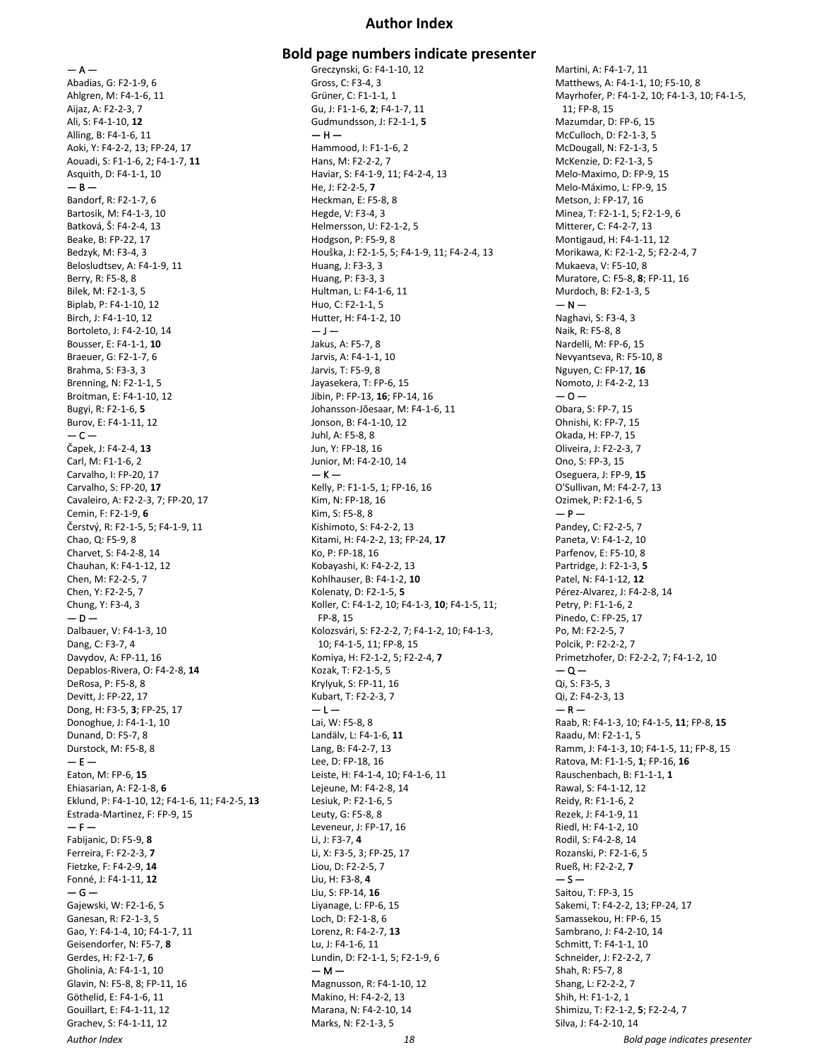## **Author Index**

 $- A -$ Abadias, G: F2-1-9, 6 Ahlgren, M: F4-1-6, 11 Aijaz, A: F2-2-3, 7 Ali, S: F4-1-10, **12** Alling, B: F4-1-6, 11 Aoki, Y: F4-2-2, 13; FP-24, 17 Aouadi, S: F1-1-6, 2; F4-1-7, **11** Asquith, D: F4-1-1, 10  $-$  B  $-$ Bandorf, R: F2-1-7, 6 Bartosik, M: F4-1-3, 10 Batková, Š: F4-2-4, 13 Beake, B: FP-22, 17 Bedzyk, M: F3-4, 3 Belosludtsev, A: F4-1-9, 11 Berry, R: F5-8, 8 Bilek, M: F2-1-3, 5 Biplab, P: F4-1-10, 12 Birch, J: F4-1-10, 12 Bortoleto, J: F4-2-10, 14 Bousser, E: F4-1-1, **10** Braeuer, G: F2-1-7, 6 Brahma, S: F3-3, 3 Brenning, N: F2-1-1, 5 Broitman, E: F4-1-10, 12 Bugyi, R: F2-1-6, **5** Burov, E: F4-1-11, 12  $-$ Čapek, J: F4-2-4, **13** Carl, M: F1-1-6, 2 Carvalho, I: FP-20, 17 Carvalho, S: FP-20, **17** Cavaleiro, A: F2-2-3, 7; FP-20, 17 Cemin, F: F2-1-9, **6** Čerstvý, R: F2-1-5, 5; F4-1-9, 11 Chao, Q: F5-9, 8 Charvet, S: F4-2-8, 14 Chauhan, K: F4-1-12, 12 Chen, M: F2-2-5, 7 Chen, Y: F2-2-5, 7 Chung, Y: F3-4, 3  $- D -$ Dalbauer, V: F4-1-3, 10 Dang, C: F3-7, 4 Davydov, A: FP-11, 16 Depablos-Rivera, O: F4-2-8, **14** DeRosa, P: F5-8, 8 Devitt, J: FP-22, 17 Dong, H: F3-5, **3**; FP-25, 17 Donoghue, J: F4-1-1, 10 Dunand, D: F5-7, 8 Durstock, M: F5-8, 8  $- E -$ Eaton, M: FP-6, **15** Ehiasarian, A: F2-1-8, **6** Eklund, P: F4-1-10, 12; F4-1-6, 11; F4-2-5, **13** Estrada-Martinez, F: FP-9, 15  $- F -$ Fabijanic, D: F5-9, **8** Ferreira, F: F2-2-3, **7** Fietzke, F: F4-2-9, **14** Fonné, J: F4-1-11, **12**  $-$ Gajewski, W: F2-1-6, 5 Ganesan, R: F2-1-3, 5 Gao, Y: F4-1-4, 10; F4-1-7, 11 Geisendorfer, N: F5-7, **8** Gerdes, H: F2-1-7, **6** Gholinia, A: F4-1-1, 10 Glavin, N: F5-8, 8; FP-11, 16 Göthelid, E: F4-1-6, 11 Gouillart, E: F4-1-11, 12

Grachev, S: F4-1-11, 12

**Bold page numbers indicate presenter** Greczynski, G: F4-1-10, 12 Gross, C: F3-4, 3 Grüner, C: F1-1-1, 1 Gu, J: F1-1-6, **2**; F4-1-7, 11 Gudmundsson, J: F2-1-1, **5**  $-$  H  $-$ Hammood, I: F1-1-6, 2 Hans, M: F2-2-2, 7 Haviar, S: F4-1-9, 11; F4-2-4, 13 He, J: F2-2-5, **7** Heckman, E: F5-8, 8 Hegde, V: F3-4, 3 Helmersson, U: F2-1-2, 5 Hodgson, P: F5-9, 8 Houška, J: F2-1-5, 5; F4-1-9, 11; F4-2-4, 13 Huang, J: F3-3, 3 Huang, P: F3-3, 3 Hultman, L: F4-1-6, 11 Huo, C: F2-1-1, 5 Hutter, H: F4-1-2, 10  $-\,$  J  $-$ Jakus, A: F5-7, 8 Jarvis, A: F4-1-1, 10 Jarvis, T: F5-9, 8 Jayasekera, T: FP-6, 15 Jibin, P: FP-13, **16**; FP-14, 16 Johansson-Jõesaar, M: F4-1-6, 11 Jonson, B: F4-1-10, 12 Juhl, A: F5-8, 8 Jun, Y: FP-18, 16 Junior, M: F4-2-10, 14  $-$  K  $-$ Kelly, P: F1-1-5, 1; FP-16, 16 Kim, N: FP-18, 16 Kim, S: F5-8, 8 Kishimoto, S: F4-2-2, 13 Kitami, H: F4-2-2, 13; FP-24, **17** Ko, P: FP-18, 16 Kobayashi, K: F4-2-2, 13 Kohlhauser, B: F4-1-2, **10** Kolenaty, D: F2-1-5, **5** Koller, C: F4-1-2, 10; F4-1-3, **10**; F4-1-5, 11; FP-8, 15 Kolozsvári, S: F2-2-2, 7; F4-1-2, 10; F4-1-3, 10; F4-1-5, 11; FP-8, 15 Komiya, H: F2-1-2, 5; F2-2-4, **7** Kozak, T: F2-1-5, 5 Krylyuk, S: FP-11, 16 Kubart, T: F2-2-3, 7  $-1-$ Lai, W: F5-8, 8 Landälv, L: F4-1-6, **11** Lang, B: F4-2-7, 13 Lee, D: FP-18, 16 Leiste, H: F4-1-4, 10; F4-1-6, 11 Lejeune, M: F4-2-8, 14 Lesiuk, P: F2-1-6, 5 Leuty, G: F5-8, 8 Leveneur, J: FP-17, 16 Li, J: F3-7, **4** Li, X: F3-5, 3; FP-25, 17 Liou, D: F2-2-5, 7 Liu, H: F3-8, **4** Liu, S: FP-14, **16** Liyanage, L: FP-6, 15 Loch, D: F2-1-8, 6 Lorenz, R: F4-2-7, **13** Lu, J: F4-1-6, 11 Lundin, D: F2-1-1, 5; F2-1-9, 6  $- M -$ Magnusson, R: F4-1-10, 12 Makino, H: F4-2-2, 13 Marana, N: F4-2-10, 14 Marks, N: F2-1-3, 5

Martini, A: F4-1-7, 11 Matthews, A: F4-1-1, 10; F5-10, 8 Mayrhofer, P: F4-1-2, 10; F4-1-3, 10; F4-1-5, 11; FP-8, 15 Mazumdar, D: FP-6, 15 McCulloch, D: F2-1-3, 5 McDougall, N: F2-1-3, 5 McKenzie, D: F2-1-3, 5 Melo-Maximo, D: FP-9, 15 Melo-Máximo, L: FP-9, 15 Metson, J: FP-17, 16 Minea, T: F2-1-1, 5; F2-1-9, 6 Mitterer, C: F4-2-7, 13 Montigaud, H: F4-1-11, 12 Morikawa, K: F2-1-2, 5; F2-2-4, 7 Mukaeva, V: F5-10, 8 Muratore, C: F5-8, **8**; FP-11, 16 Murdoch, B: F2-1-3, 5  $- N -$ Naghavi, S: F3-4, 3 Naik, R: F5-8, 8 Nardelli, M: FP-6, 15 Nevyantseva, R: F5-10, 8 Nguyen, C: FP-17, **16** Nomoto, J: F4-2-2, 13  $-0-$ Obara, S: FP-7, 15 Ohnishi, K: FP-7, 15 Okada, H: FP-7, 15 Oliveira, J: F2-2-3, 7 Ono, S: FP-3, 15 Oseguera, J: FP-9, **15** O'Sullivan, M: F4-2-7, 13 Ozimek, P: F2-1-6, 5  $- P -$ Pandey, C: F2-2-5, 7 Paneta, V: F4-1-2, 10 Parfenov, E: F5-10, 8 Partridge, J: F2-1-3, **5** Patel, N: F4-1-12, **12** Pérez-Alvarez, J: F4-2-8, 14 Petry, P: F1-1-6, 2 Pinedo, C: FP-25, 17 Po, M: F2-2-5, 7 Polcik, P: F2-2-2, 7 Primetzhofer, D: F2-2-2, 7; F4-1-2, 10  $\Omega$   $-$ Qi, S: F3-5, 3 Qi, Z: F4-2-3, 13  $- R -$ Raab, R: F4-1-3, 10; F4-1-5, **11**; FP-8, **15** Raadu, M: F2-1-1, 5 Ramm, J: F4-1-3, 10; F4-1-5, 11; FP-8, 15 Ratova, M: F1-1-5, **1**; FP-16, **16** Rauschenbach, B: F1-1-1, **1** Rawal, S: F4-1-12, 12 Reidy, R: F1-1-6, 2 Rezek, J: F4-1-9, 11 Riedl, H: F4-1-2, 10 Rodil, S: F4-2-8, 14 Rozanski, P: F2-1-6, 5 Rueß, H: F2-2-2, **7**  $-5-$ Saitou, T: FP-3, 15 Sakemi, T: F4-2-2, 13; FP-24, 17 Samassekou, H: FP-6, 15 Sambrano, J: F4-2-10, 14 Schmitt, T: F4-1-1, 10 Schneider, J: F2-2-2, 7 Shah, R: F5-7, 8 Shang, L: F2-2-2, 7 Shih, H: F1-1-2, 1 Shimizu, T: F2-1-2, **5**; F2-2-4, 7 Silva, J: F4-2-10, 14